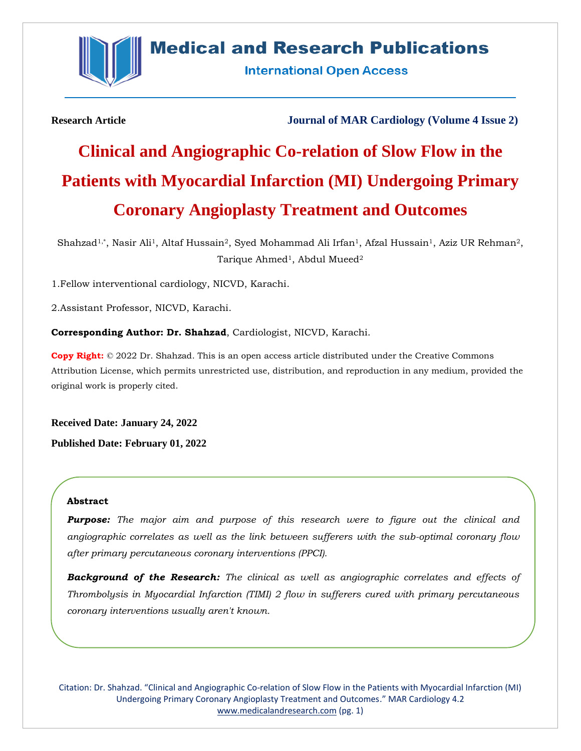

# **Medical and Research Publications**

**International Open Access** 

**Research Article Journal of MAR Cardiology (Volume 4 Issue 2)**

# **Clinical and Angiographic Co-relation of Slow Flow in the Patients with Myocardial Infarction (MI) Undergoing Primary Coronary Angioplasty Treatment and Outcomes**

Shahzad<sup>1,\*</sup>, Nasir Ali<sup>1</sup>, Altaf Hussain<sup>2</sup>, Syed Mohammad Ali Irfan<sup>1</sup>, Afzal Hussain<sup>1</sup>, Aziz UR Rehman<sup>2</sup>, Tarique Ahmed<sup>1</sup>, Abdul Mueed<sup>2</sup>

1.Fellow interventional cardiology, NICVD, Karachi.

2.Assistant Professor, NICVD, Karachi.

**Corresponding Author: Dr. Shahzad**, Cardiologist, NICVD, Karachi.

**Copy Right:** © 2022 Dr. Shahzad. This is an open access article distributed under the Creative Commons Attribution License, which permits unrestricted use, distribution, and reproduction in any medium, provided the original work is properly cited.

**Received Date: January 24, 2022 Published Date: February 01, 2022**

#### **Abstract**

*Purpose: The major aim and purpose of this research were to figure out the clinical and angiographic correlates as well as the link between sufferers with the sub-optimal coronary flow after primary percutaneous coronary interventions (PPCI).*

*Background of the Research: The clinical as well as angiographic correlates and effects of Thrombolysis in Myocardial Infarction (TIMI) 2 flow in sufferers cured with primary percutaneous coronary interventions usually aren't known.*

Citation: Dr. Shahzad. "Clinical and Angiographic Co-relation of Slow Flow in the Patients with Myocardial Infarction (MI) Undergoing Primary Coronary Angioplasty Treatment and Outcomes." MAR Cardiology 4.2 [www.medicalandresearch.com](http://www.medicalandresearch.com/) (pg. 1)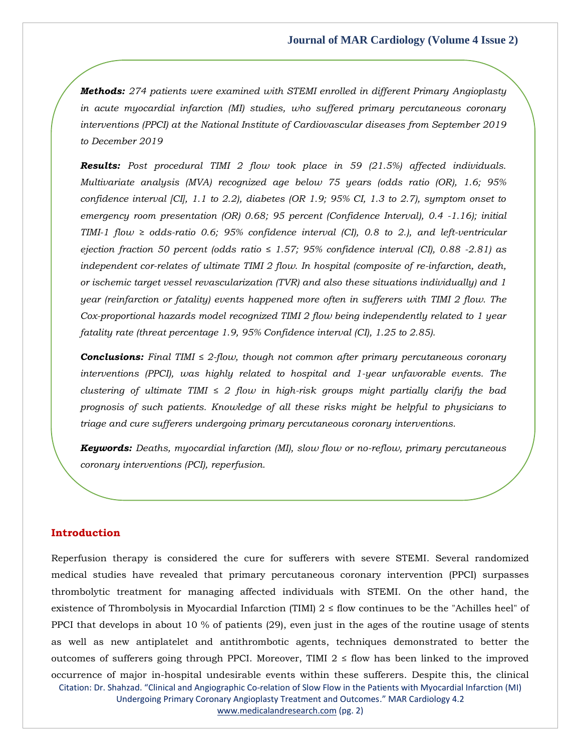*Methods: 274 patients were examined with STEMI enrolled in different Primary Angioplasty in acute myocardial infarction (MI) studies, who suffered primary percutaneous coronary interventions (PPCI) at the National Institute of Cardiovascular diseases from September 2019 to December 2019*

*Results: Post procedural TIMI 2 flow took place in 59 (21.5%) affected individuals. Multivariate analysis (MVA) recognized age below 75 years (odds ratio (OR), 1.6; 95% confidence interval [CI], 1.1 to 2.2), diabetes (OR 1.9; 95% CI, 1.3 to 2.7), symptom onset to emergency room presentation (OR) 0.68; 95 percent (Confidence Interval), 0.4 -1.16); initial TIMI-1 flow ≥ odds-ratio 0.6; 95% confidence interval (CI), 0.8 to 2.), and left-ventricular ejection fraction 50 percent (odds ratio ≤ 1.57; 95% confidence interval (CI), 0.88 -2.81) as independent cor-relates of ultimate TIMI 2 flow. In hospital (composite of re-infarction, death, or ischemic target vessel revascularization (TVR) and also these situations individually) and 1 year (reinfarction or fatality) events happened more often in sufferers with TIMI 2 flow. The Cox-proportional hazards model recognized TIMI 2 flow being independently related to 1 year fatality rate (threat percentage 1.9, 95% Confidence interval (CI), 1.25 to 2.85).*

*Conclusions: Final TIMI ≤ 2-flow, though not common after primary percutaneous coronary interventions (PPCI), was highly related to hospital and 1-year unfavorable events. The clustering of ultimate TIMI ≤ 2 flow in high-risk groups might partially clarify the bad prognosis of such patients. Knowledge of all these risks might be helpful to physicians to triage and cure sufferers undergoing primary percutaneous coronary interventions.*

*Keywords: Deaths, myocardial infarction (MI), slow flow or no-reflow, primary percutaneous coronary interventions (PCI), reperfusion.*

#### **Introduction**

Citation: Dr. Shahzad. "Clinical and Angiographic Co-relation of Slow Flow in the Patients with Myocardial Infarction (MI) Undergoing Primary Coronary Angioplasty Treatment and Outcomes." MAR Cardiology 4.2 [www.medicalandresearch.com](http://www.medicalandresearch.com/) (pg. 2) Reperfusion therapy is considered the cure for sufferers with severe STEMI. Several randomized medical studies have revealed that primary percutaneous coronary intervention (PPCI) surpasses thrombolytic treatment for managing affected individuals with STEMI. On the other hand, the existence of Thrombolysis in Myocardial Infarction (TIMI)  $2 \le$  flow continues to be the "Achilles heel" of PPCI that develops in about 10 % of patients (29), even just in the ages of the routine usage of stents as well as new antiplatelet and antithrombotic agents, techniques demonstrated to better the outcomes of sufferers going through PPCI. Moreover, TIMI  $2 \le$  flow has been linked to the improved occurrence of major in-hospital undesirable events within these sufferers. Despite this, the clinical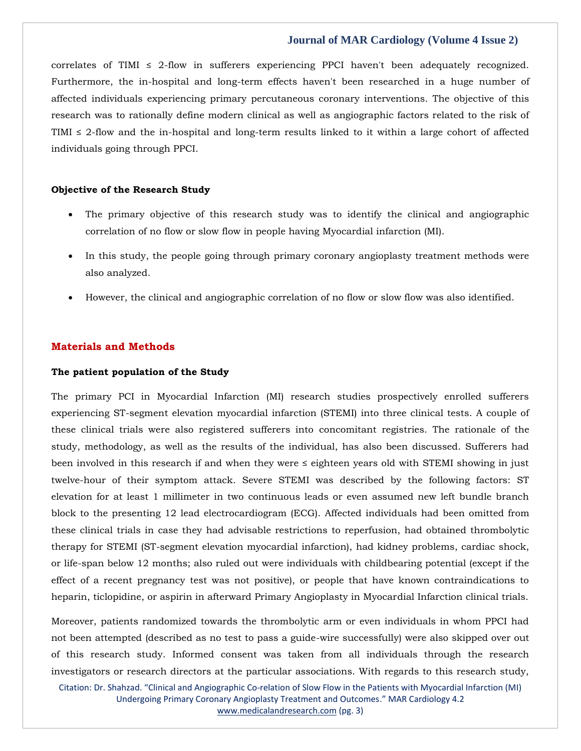correlates of TIMI  $\leq$  2-flow in sufferers experiencing PPCI haven't been adequately recognized. Furthermore, the in-hospital and long-term effects haven't been researched in a huge number of affected individuals experiencing primary percutaneous coronary interventions. The objective of this research was to rationally define modern clinical as well as angiographic factors related to the risk of TIMI  $\leq$  2-flow and the in-hospital and long-term results linked to it within a large cohort of affected individuals going through PPCI.

#### **Objective of the Research Study**

- The primary objective of this research study was to identify the clinical and angiographic correlation of no flow or slow flow in people having Myocardial infarction (MI).
- In this study, the people going through primary coronary angioplasty treatment methods were also analyzed.
- However, the clinical and angiographic correlation of no flow or slow flow was also identified.

#### **Materials and Methods**

#### **The patient population of the Study**

The primary PCI in Myocardial Infarction (MI) research studies prospectively enrolled sufferers experiencing ST-segment elevation myocardial infarction (STEMI) into three clinical tests. A couple of these clinical trials were also registered sufferers into concomitant registries. The rationale of the study, methodology, as well as the results of the individual, has also been discussed. Sufferers had been involved in this research if and when they were ≤ eighteen years old with STEMI showing in just twelve-hour of their symptom attack. Severe STEMI was described by the following factors: ST elevation for at least 1 millimeter in two continuous leads or even assumed new left bundle branch block to the presenting 12 lead electrocardiogram (ECG). Affected individuals had been omitted from these clinical trials in case they had advisable restrictions to reperfusion, had obtained thrombolytic therapy for STEMI (ST-segment elevation myocardial infarction), had kidney problems, cardiac shock, or life-span below 12 months; also ruled out were individuals with childbearing potential (except if the effect of a recent pregnancy test was not positive), or people that have known contraindications to heparin, ticlopidine, or aspirin in afterward Primary Angioplasty in Myocardial Infarction clinical trials.

Moreover, patients randomized towards the thrombolytic arm or even individuals in whom PPCI had not been attempted (described as no test to pass a guide-wire successfully) were also skipped over out of this research study. Informed consent was taken from all individuals through the research investigators or research directors at the particular associations. With regards to this research study,

Citation: Dr. Shahzad. "Clinical and Angiographic Co-relation of Slow Flow in the Patients with Myocardial Infarction (MI) Undergoing Primary Coronary Angioplasty Treatment and Outcomes." MAR Cardiology 4.2 [www.medicalandresearch.com](http://www.medicalandresearch.com/) (pg. 3)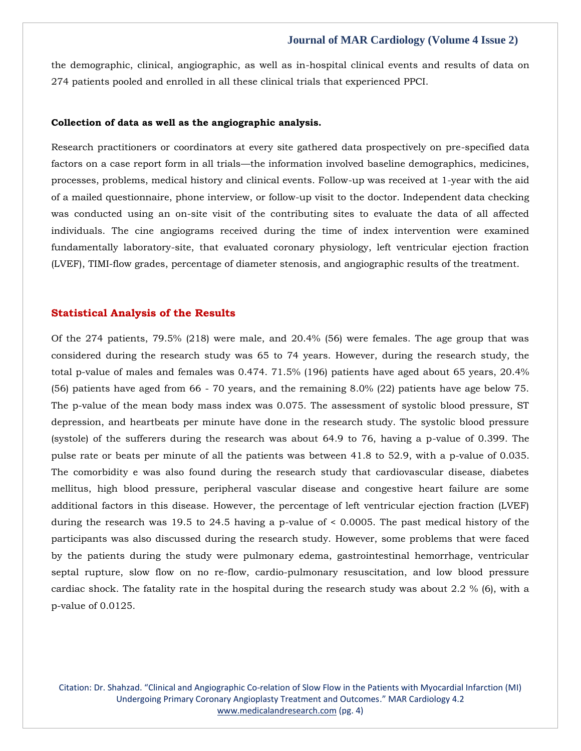the demographic, clinical, angiographic, as well as in-hospital clinical events and results of data on 274 patients pooled and enrolled in all these clinical trials that experienced PPCI.

#### **Collection of data as well as the angiographic analysis.**

Research practitioners or coordinators at every site gathered data prospectively on pre-specified data factors on a case report form in all trials—the information involved baseline demographics, medicines, processes, problems, medical history and clinical events. Follow-up was received at 1-year with the aid of a mailed questionnaire, phone interview, or follow-up visit to the doctor. Independent data checking was conducted using an on-site visit of the contributing sites to evaluate the data of all affected individuals. The cine angiograms received during the time of index intervention were examined fundamentally laboratory-site, that evaluated coronary physiology, left ventricular ejection fraction (LVEF), TIMI-flow grades, percentage of diameter stenosis, and angiographic results of the treatment.

#### **Statistical Analysis of the Results**

Of the 274 patients, 79.5% (218) were male, and 20.4% (56) were females. The age group that was considered during the research study was 65 to 74 years. However, during the research study, the total p-value of males and females was 0.474. 71.5% (196) patients have aged about 65 years, 20.4% (56) patients have aged from 66 - 70 years, and the remaining 8.0% (22) patients have age below 75. The p-value of the mean body mass index was 0.075. The assessment of systolic blood pressure, ST depression, and heartbeats per minute have done in the research study. The systolic blood pressure (systole) of the sufferers during the research was about 64.9 to 76, having a p-value of 0.399. The pulse rate or beats per minute of all the patients was between 41.8 to 52.9, with a p-value of 0.035. The comorbidity e was also found during the research study that cardiovascular disease, diabetes mellitus, high blood pressure, peripheral vascular disease and congestive heart failure are some additional factors in this disease. However, the percentage of left ventricular ejection fraction (LVEF) during the research was 19.5 to 24.5 having a p-value of < 0.0005. The past medical history of the participants was also discussed during the research study. However, some problems that were faced by the patients during the study were pulmonary edema, gastrointestinal hemorrhage, ventricular septal rupture, slow flow on no re-flow, cardio-pulmonary resuscitation, and low blood pressure cardiac shock. The fatality rate in the hospital during the research study was about 2.2 % (6), with a p-value of 0.0125.

Citation: Dr. Shahzad. "Clinical and Angiographic Co-relation of Slow Flow in the Patients with Myocardial Infarction (MI) Undergoing Primary Coronary Angioplasty Treatment and Outcomes." MAR Cardiology 4.2 [www.medicalandresearch.com](http://www.medicalandresearch.com/) (pg. 4)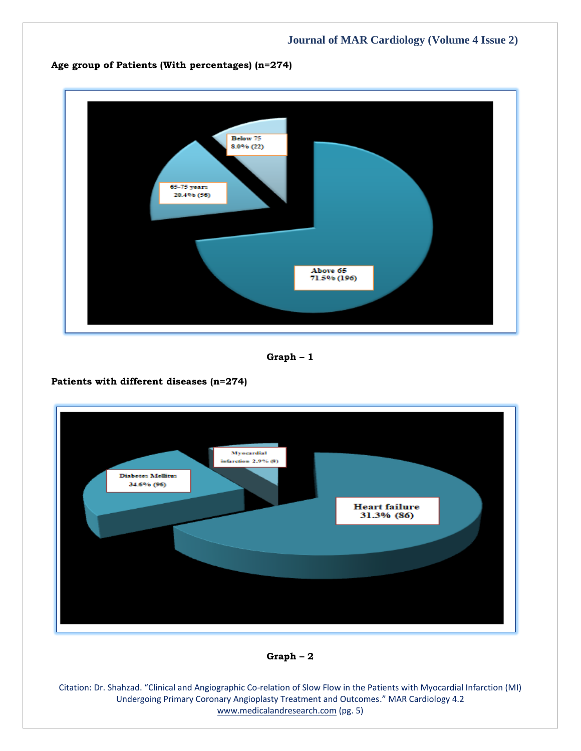

**Graph – 1**

## **Patients with different diseases (n=274)**



### **Graph – 2**

Citation: Dr. Shahzad. "Clinical and Angiographic Co-relation of Slow Flow in the Patients with Myocardial Infarction (MI) Undergoing Primary Coronary Angioplasty Treatment and Outcomes." MAR Cardiology 4.2 [www.medicalandresearch.com](http://www.medicalandresearch.com/) (pg. 5)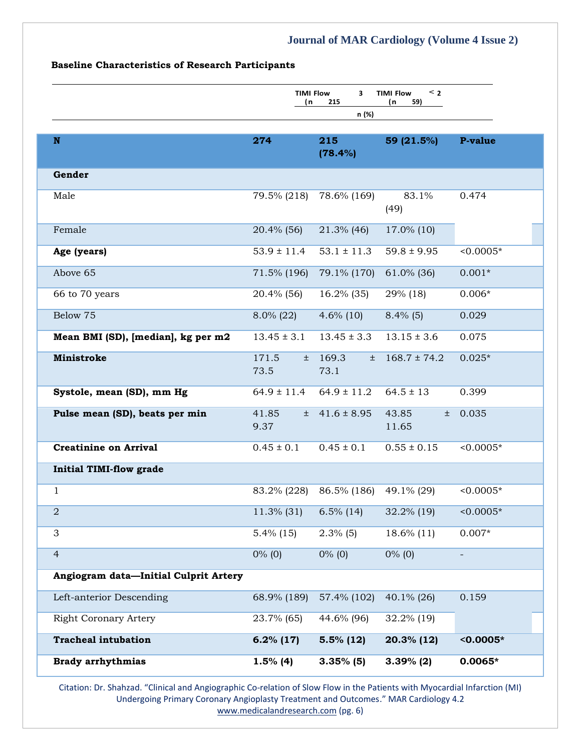#### **Baseline Characteristics of Research Participants**

|                                       | <b>TIMI Flow</b><br>(n | 3<br>215<br>n (%)     | < 2<br><b>TIMI Flow</b><br>(n<br>59) |             |
|---------------------------------------|------------------------|-----------------------|--------------------------------------|-------------|
| $\mathbf N$                           | 274                    | 215<br>(78.4%)        | 59 (21.5%)                           | P-value     |
| Gender                                |                        |                       |                                      |             |
| Male                                  | 79.5% (218)            | 78.6% (169)           | 83.1%<br>(49)                        | 0.474       |
| Female                                | 20.4% (56)             | 21.3% (46)            | 17.0% (10)                           |             |
| Age (years)                           | $53.9 \pm 11.4$        | $53.1 \pm 11.3$       | $59.8 \pm 9.95$                      | $< 0.0005*$ |
| Above 65                              | 71.5% (196)            | 79.1% (170)           | 61.0% (36)                           | $0.001*$    |
| 66 to 70 years                        | 20.4% (56)             | 16.2% (35)            | 29% (18)                             | $0.006*$    |
| Below 75                              | $8.0\%$ (22)           | $4.6\%$ (10)          | $8.4\%$ (5)                          | 0.029       |
| Mean BMI (SD), [median], kg per m2    | $13.45 \pm 3.1$        | $13.45 \pm 3.3$       | $13.15 \pm 3.6$                      | 0.075       |
| <b>Ministroke</b>                     | 171.5<br>$\pm$<br>73.5 | 169.3<br>Ŧ.<br>73.1   | $168.7 \pm 74.2$                     | $0.025*$    |
| Systole, mean (SD), mm Hg             | $64.9 \pm 11.4$        | $64.9 \pm 11.2$       | $64.5 \pm 13$                        | 0.399       |
| Pulse mean (SD), beats per min        | 41.85<br>9.37          | $\pm$ 41.6 $\pm$ 8.95 | 43.85<br>土<br>11.65                  | 0.035       |
| <b>Creatinine on Arrival</b>          | $0.45 \pm 0.1$         | $0.45 \pm 0.1$        | $0.55 \pm 0.15$                      | $< 0.0005*$ |
| <b>Initial TIMI-flow grade</b>        |                        |                       |                                      |             |
| $\mathbf{1}$                          | 83.2% (228)            | 86.5% (186)           | 49.1% (29)                           | $< 0.0005*$ |
| $\overline{2}$                        | 11.3% (31)             | $6.5\%$ (14)          | 32.2% (19)                           | $< 0.0005*$ |
| 3                                     | $5.4\%$ (15)           | $2.3\%$ (5)           | 18.6% (11)                           | $0.007*$    |
| $\overline{4}$                        | $0\%$ (0)              | $0\%$ (0)             | $0\%$ (0)                            |             |
| Angiogram data-Initial Culprit Artery |                        |                       |                                      |             |
| Left-anterior Descending              | 68.9% (189)            | 57.4% (102)           | 40.1% (26)                           | 0.159       |
| <b>Right Coronary Artery</b>          | 23.7% (65)             | 44.6% (96)            | 32.2% (19)                           |             |
| <b>Tracheal intubation</b>            | $6.2\%$ (17)           | $5.5\%$ (12)          | 20.3% (12)                           | $< 0.0005*$ |
| <b>Brady arrhythmias</b>              | $1.5\%$ (4)            | $3.35\%$ (5)          | $3.39\%$ (2)                         | $0.0065*$   |

Citation: Dr. Shahzad. "Clinical and Angiographic Co-relation of Slow Flow in the Patients with Myocardial Infarction (MI) Undergoing Primary Coronary Angioplasty Treatment and Outcomes." MAR Cardiology 4.2 [www.medicalandresearch.com](http://www.medicalandresearch.com/) (pg. 6)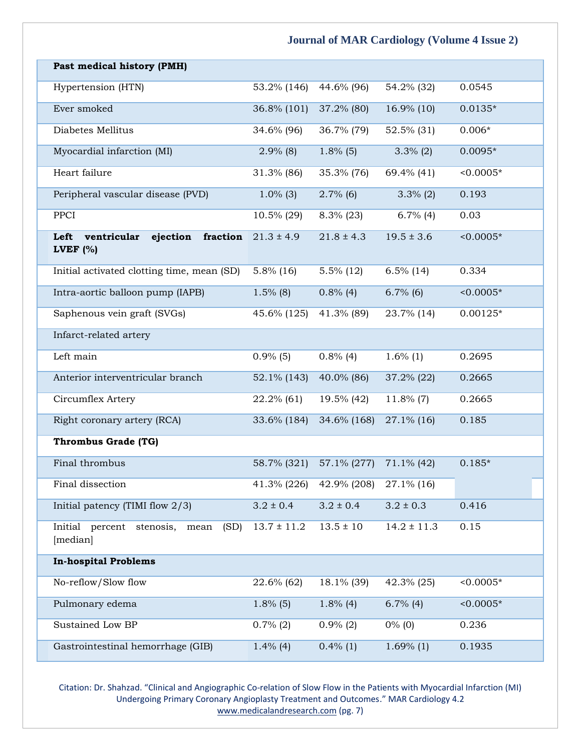| Past medical history (PMH)                                |                 |                |                 |             |
|-----------------------------------------------------------|-----------------|----------------|-----------------|-------------|
| Hypertension (HTN)                                        | 53.2% (146)     | 44.6% (96)     | 54.2% (32)      | 0.0545      |
| Ever smoked                                               | 36.8% (101)     | 37.2% (80)     | 16.9% (10)      | $0.0135*$   |
| Diabetes Mellitus                                         | 34.6% (96)      | 36.7% (79)     | 52.5% (31)      | $0.006*$    |
| Myocardial infarction (MI)                                | $2.9\%$ (8)     | $1.8\%$ (5)    | $3.3\%$ (2)     | $0.0095*$   |
| Heart failure                                             | 31.3% (86)      | 35.3% (76)     | 69.4% (41)      | $< 0.0005*$ |
| Peripheral vascular disease (PVD)                         | $1.0\%$ (3)     | $2.7\%$ (6)    | $3.3\%$ (2)     | 0.193       |
| PPCI                                                      | $10.5\%$ (29)   | $8.3\%$ (23)   | $6.7\%$ (4)     | 0.03        |
| fraction<br>Left<br>ventricular<br>ejection<br>LVEF $(%)$ | $21.3 \pm 4.9$  | $21.8 \pm 4.3$ | $19.5 \pm 3.6$  | $< 0.0005*$ |
| Initial activated clotting time, mean (SD)                | $5.8\%$ (16)    | $5.5\%$ (12)   | $6.5\%$ (14)    | 0.334       |
| Intra-aortic balloon pump (IAPB)                          | $1.5\%$ (8)     | $0.8\%$ (4)    | $6.7\%$ (6)     | $< 0.0005*$ |
| Saphenous vein graft (SVGs)                               | 45.6% (125)     | 41.3% (89)     | 23.7% (14)      | $0.00125*$  |
| Infarct-related artery                                    |                 |                |                 |             |
| Left main                                                 | $0.9\%$ (5)     | $0.8\%$ (4)    | $1.6\%$ (1)     | 0.2695      |
| Anterior interventricular branch                          | 52.1% (143)     | 40.0% (86)     | 37.2% (22)      | 0.2665      |
| Circumflex Artery                                         | 22.2% (61)      | 19.5% (42)     | $11.8\%$ (7)    | 0.2665      |
| Right coronary artery (RCA)                               | 33.6% (184)     | 34.6% (168)    | 27.1% (16)      | 0.185       |
| <b>Thrombus Grade (TG)</b>                                |                 |                |                 |             |
| Final thrombus                                            | 58.7% (321)     | 57.1% (277)    | $71.1\%$ (42)   | $0.185*$    |
| Final dissection                                          | 41.3% (226)     | 42.9% (208)    | 27.1% (16)      |             |
| Initial patency (TIMI flow $2/3$ )                        | $3.2 \pm 0.4$   | $3.2 \pm 0.4$  | $3.2 \pm 0.3$   | 0.416       |
| Initial<br>percent stenosis,<br>(SD)<br>mean<br>[median]  | $13.7 \pm 11.2$ | $13.5 \pm 10$  | $14.2 \pm 11.3$ | 0.15        |
| <b>In-hospital Problems</b>                               |                 |                |                 |             |
| No-reflow/Slow flow                                       | 22.6% (62)      | 18.1% (39)     | 42.3% (25)      | $< 0.0005*$ |
| Pulmonary edema                                           | $1.8\%$ (5)     | $1.8\%$ (4)    | $6.7\%$ (4)     | $< 0.0005*$ |
| Sustained Low BP                                          | $0.7\%$ (2)     | $0.9\%$ (2)    | $0\%$ (0)       | 0.236       |
| Gastrointestinal hemorrhage (GIB)                         | $1.4\%$ (4)     | $0.4\%$ (1)    | $1.69\%$ (1)    | 0.1935      |

Citation: Dr. Shahzad. "Clinical and Angiographic Co-relation of Slow Flow in the Patients with Myocardial Infarction (MI) Undergoing Primary Coronary Angioplasty Treatment and Outcomes." MAR Cardiology 4.2 [www.medicalandresearch.com](http://www.medicalandresearch.com/) (pg. 7)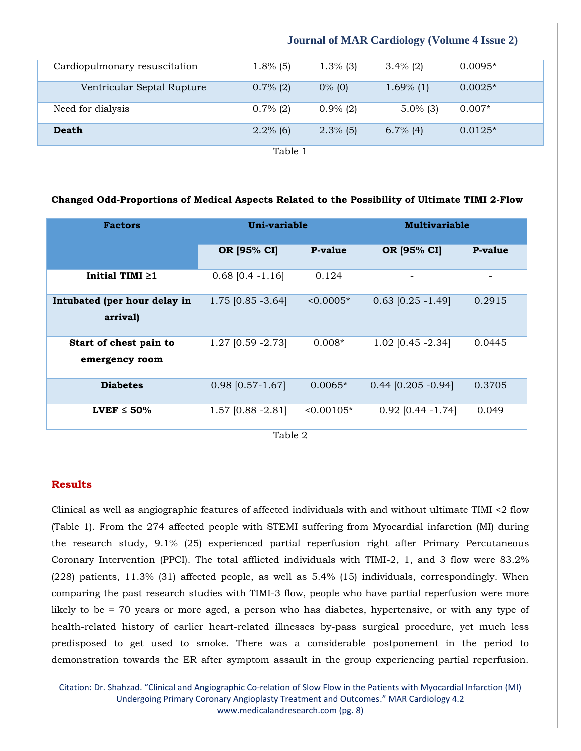|                               | <b>Journal of MAR Cardiology (Volume 4 Issue 2)</b> |             |              |           |
|-------------------------------|-----------------------------------------------------|-------------|--------------|-----------|
| Cardiopulmonary resuscitation | $1.8\%$ (5)                                         | $1.3\%$ (3) | $3.4\%$ (2)  | $0.0095*$ |
| Ventricular Septal Rupture    | $0.7\%$ (2)                                         | $0\%$ (0)   | $1.69\%$ (1) | $0.0025*$ |
| Need for dialysis             | $0.7\%$ (2)                                         | $0.9\%$ (2) | $5.0\%$ (3)  | $0.007*$  |
| Death                         | $2.2\%$ (6)                                         | $2.3\%$ (5) | $6.7\%$ (4)  | $0.0125*$ |
| Table 1                       |                                                     |             |              |           |

#### **Changed Odd-Proportions of Medical Aspects Related to the Possibility of Ultimate TIMI 2-Flow**

| <b>Factors</b>                           | Uni-variable                     |                | <b>Multivariable</b>     |         |
|------------------------------------------|----------------------------------|----------------|--------------------------|---------|
|                                          | OR [95% CI]                      | <b>P-value</b> | OR [95% CI]              | P-value |
| Initial TIMI $\geq 1$                    | $0.68$ [0.4 -1.16]               | 0.124          | $\overline{\phantom{0}}$ |         |
| Intubated (per hour delay in<br>arrival) | 1.75 [0.85 -3.64]                | $< 0.0005*$    | $0.63$ [0.25 -1.49]      | 0.2915  |
| Start of chest pain to<br>emergency room | 1.27 [0.59 - 2.73]               | $0.008*$       | 1.02 [0.45 -2.34]        | 0.0445  |
| <b>Diabetes</b>                          | $0.98$ [0.57-1.67]               | $0.0065*$      | $0.44$ [0.205 -0.94]     | 0.3705  |
| $LVEF \leq 50\%$                         | 1.57 [0.88 -2.81]<br>$m + 1 - p$ | $< 0.00105*$   | $0.92$ [0.44 -1.74]      | 0.049   |

Table 2

#### **Results**

Clinical as well as angiographic features of affected individuals with and without ultimate TIMI <2 flow (Table 1). From the 274 affected people with STEMI suffering from Myocardial infarction (MI) during the research study, 9.1% (25) experienced partial reperfusion right after Primary Percutaneous Coronary Intervention (PPCI). The total afflicted individuals with TIMI-2, 1, and 3 flow were 83.2% (228) patients, 11.3% (31) affected people, as well as 5.4% (15) individuals, correspondingly. When comparing the past research studies with TIMI-3 flow, people who have partial reperfusion were more likely to be = 70 years or more aged, a person who has diabetes, hypertensive, or with any type of health-related history of earlier heart-related illnesses by-pass surgical procedure, yet much less predisposed to get used to smoke. There was a considerable postponement in the period to demonstration towards the ER after symptom assault in the group experiencing partial reperfusion.

Citation: Dr. Shahzad. "Clinical and Angiographic Co-relation of Slow Flow in the Patients with Myocardial Infarction (MI) Undergoing Primary Coronary Angioplasty Treatment and Outcomes." MAR Cardiology 4.2 [www.medicalandresearch.com](http://www.medicalandresearch.com/) (pg. 8)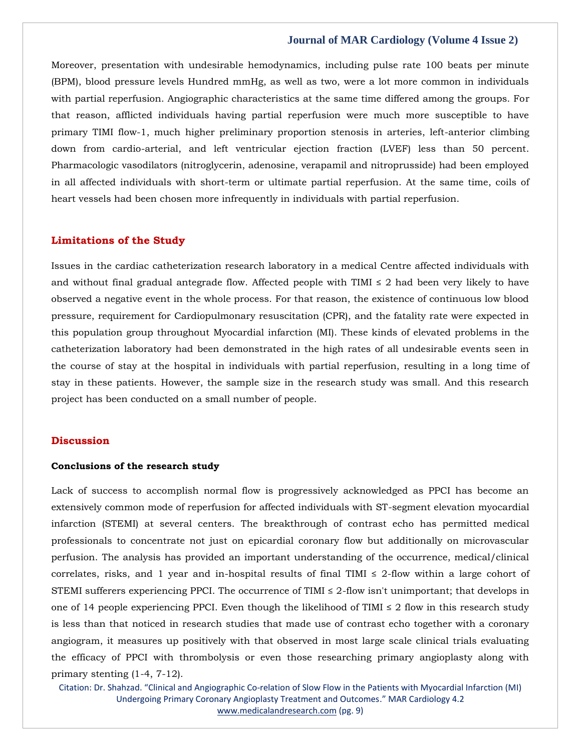Moreover, presentation with undesirable hemodynamics, including pulse rate 100 beats per minute (BPM), blood pressure levels Hundred mmHg, as well as two, were a lot more common in individuals with partial reperfusion. Angiographic characteristics at the same time differed among the groups. For that reason, afflicted individuals having partial reperfusion were much more susceptible to have primary TIMI flow-1, much higher preliminary proportion stenosis in arteries, left-anterior climbing down from cardio-arterial, and left ventricular ejection fraction (LVEF) less than 50 percent. Pharmacologic vasodilators (nitroglycerin, adenosine, verapamil and nitroprusside) had been employed in all affected individuals with short-term or ultimate partial reperfusion. At the same time, coils of heart vessels had been chosen more infrequently in individuals with partial reperfusion.

#### **Limitations of the Study**

Issues in the cardiac catheterization research laboratory in a medical Centre affected individuals with and without final gradual antegrade flow. Affected people with TIMI  $\leq$  2 had been very likely to have observed a negative event in the whole process. For that reason, the existence of continuous low blood pressure, requirement for Cardiopulmonary resuscitation (CPR), and the fatality rate were expected in this population group throughout Myocardial infarction (MI). These kinds of elevated problems in the catheterization laboratory had been demonstrated in the high rates of all undesirable events seen in the course of stay at the hospital in individuals with partial reperfusion, resulting in a long time of stay in these patients. However, the sample size in the research study was small. And this research project has been conducted on a small number of people.

#### **Discussion**

#### **Conclusions of the research study**

Lack of success to accomplish normal flow is progressively acknowledged as PPCI has become an extensively common mode of reperfusion for affected individuals with ST-segment elevation myocardial infarction (STEMI) at several centers. The breakthrough of contrast echo has permitted medical professionals to concentrate not just on epicardial coronary flow but additionally on microvascular perfusion. The analysis has provided an important understanding of the occurrence, medical/clinical correlates, risks, and 1 year and in-hospital results of final TIMI  $\leq$  2-flow within a large cohort of STEMI sufferers experiencing PPCI. The occurrence of TIMI  $\leq$  2-flow isn't unimportant; that develops in one of 14 people experiencing PPCI. Even though the likelihood of TIMI  $\leq$  2 flow in this research study is less than that noticed in research studies that made use of contrast echo together with a coronary angiogram, it measures up positively with that observed in most large scale clinical trials evaluating the efficacy of PPCI with thrombolysis or even those researching primary angioplasty along with primary stenting (1-4, 7-12).

Citation: Dr. Shahzad. "Clinical and Angiographic Co-relation of Slow Flow in the Patients with Myocardial Infarction (MI) Undergoing Primary Coronary Angioplasty Treatment and Outcomes." MAR Cardiology 4.2 [www.medicalandresearch.com](http://www.medicalandresearch.com/) (pg. 9)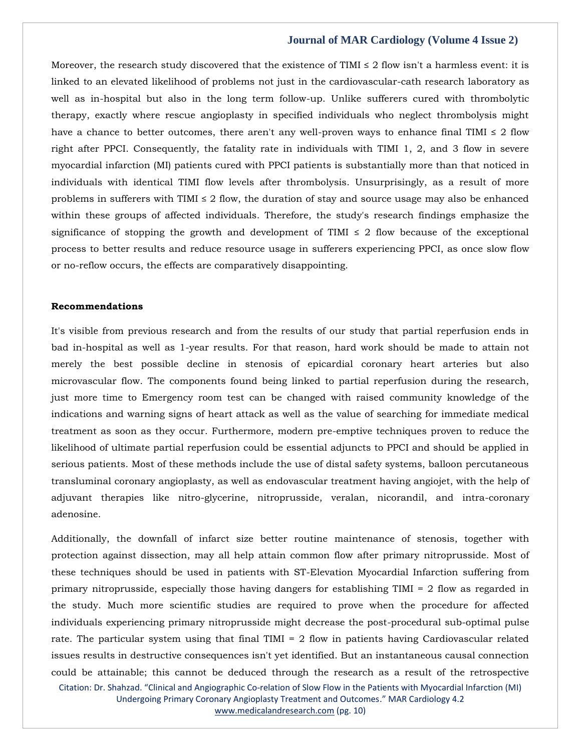Moreover, the research study discovered that the existence of TIMI  $\leq$  2 flow isn't a harmless event: it is linked to an elevated likelihood of problems not just in the cardiovascular-cath research laboratory as well as in-hospital but also in the long term follow-up. Unlike sufferers cured with thrombolytic therapy, exactly where rescue angioplasty in specified individuals who neglect thrombolysis might have a chance to better outcomes, there aren't any well-proven ways to enhance final TIMI  $\leq 2$  flow right after PPCI. Consequently, the fatality rate in individuals with TIMI 1, 2, and 3 flow in severe myocardial infarction (MI) patients cured with PPCI patients is substantially more than that noticed in individuals with identical TIMI flow levels after thrombolysis. Unsurprisingly, as a result of more problems in sufferers with TIMI  $\leq 2$  flow, the duration of stay and source usage may also be enhanced within these groups of affected individuals. Therefore, the study's research findings emphasize the significance of stopping the growth and development of TIMI  $\leq$  2 flow because of the exceptional process to better results and reduce resource usage in sufferers experiencing PPCI, as once slow flow or no-reflow occurs, the effects are comparatively disappointing.

#### **Recommendations**

It's visible from previous research and from the results of our study that partial reperfusion ends in bad in-hospital as well as 1-year results. For that reason, hard work should be made to attain not merely the best possible decline in stenosis of epicardial coronary heart arteries but also microvascular flow. The components found being linked to partial reperfusion during the research, just more time to Emergency room test can be changed with raised community knowledge of the indications and warning signs of heart attack as well as the value of searching for immediate medical treatment as soon as they occur. Furthermore, modern pre-emptive techniques proven to reduce the likelihood of ultimate partial reperfusion could be essential adjuncts to PPCI and should be applied in serious patients. Most of these methods include the use of distal safety systems, balloon percutaneous transluminal coronary angioplasty, as well as endovascular treatment having angiojet, with the help of adjuvant therapies like nitro-glycerine, nitroprusside, veralan, nicorandil, and intra-coronary adenosine.

Citation: Dr. Shahzad. "Clinical and Angiographic Co-relation of Slow Flow in the Patients with Myocardial Infarction (MI) Additionally, the downfall of infarct size better routine maintenance of stenosis, together with protection against dissection, may all help attain common flow after primary nitroprusside. Most of these techniques should be used in patients with ST-Elevation Myocardial Infarction suffering from primary nitroprusside, especially those having dangers for establishing TIMI = 2 flow as regarded in the study. Much more scientific studies are required to prove when the procedure for affected individuals experiencing primary nitroprusside might decrease the post-procedural sub-optimal pulse rate. The particular system using that final TIMI = 2 flow in patients having Cardiovascular related issues results in destructive consequences isn't yet identified. But an instantaneous causal connection could be attainable; this cannot be deduced through the research as a result of the retrospective

Undergoing Primary Coronary Angioplasty Treatment and Outcomes." MAR Cardiology 4.2 [www.medicalandresearch.com](http://www.medicalandresearch.com/) (pg. 10)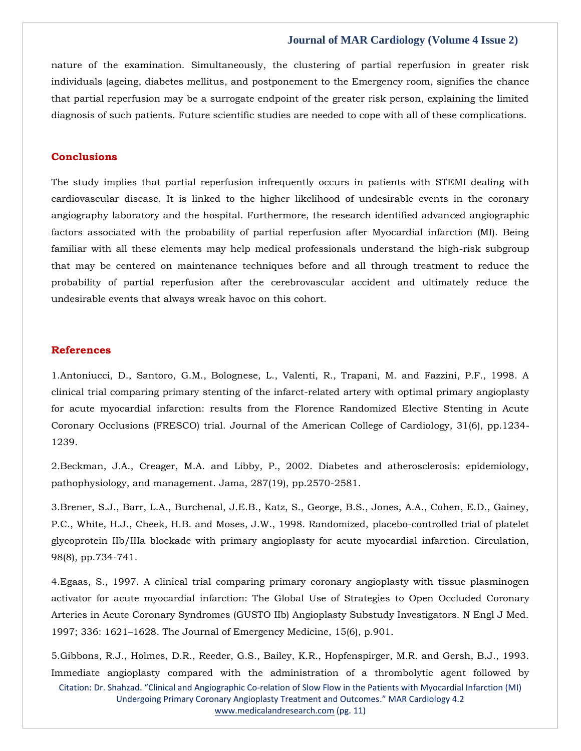nature of the examination. Simultaneously, the clustering of partial reperfusion in greater risk individuals (ageing, diabetes mellitus, and postponement to the Emergency room, signifies the chance that partial reperfusion may be a surrogate endpoint of the greater risk person, explaining the limited diagnosis of such patients. Future scientific studies are needed to cope with all of these complications.

#### **Conclusions**

The study implies that partial reperfusion infrequently occurs in patients with STEMI dealing with cardiovascular disease. It is linked to the higher likelihood of undesirable events in the coronary angiography laboratory and the hospital. Furthermore, the research identified advanced angiographic factors associated with the probability of partial reperfusion after Myocardial infarction (MI). Being familiar with all these elements may help medical professionals understand the high-risk subgroup that may be centered on maintenance techniques before and all through treatment to reduce the probability of partial reperfusion after the cerebrovascular accident and ultimately reduce the undesirable events that always wreak havoc on this cohort.

#### **References**

1[.Antoniucci, D., Santoro, G.M., Bolognese, L., Valenti, R., Trapani, M. and Fazzini, P.F., 1998. A](https://www.google.com/search?q=A+clinical+trial+comparing+primary+stenting+of+the+infarct-related+artery+with+optimal+primary+angioplasty+for+acute+myocardial+infarction%3A+results+from+the+Florence+Randomized+Elective+Stenting+in+Acute+Coronary+Occlusions+%28FRESCO%29+trial&sxsrf=AOaemvIAUekxpN1D8vCxxbNRovtt8kaQSQ%3A1643263968376&ei=4DfyYeOgFr6_3LUPlOediAQ&ved=0ahUKEwjjkO2oo9H1AhW-H7cAHZRzB0EQ4dUDCA4&uact=5&oq=A+clinical+trial+comparing+primary+stenting+of+the+infarct-related+artery+with+optimal+primary+angioplasty+for+acute+myocardial+infarction%3A+results+from+the+Florence+Randomized+Elective+Stenting+in+Acute+Coronary+Occlusions+%28FRESCO%29+trial&gs_lcp=Cgdnd3Mtd2l6EAMyBwgjEOoCECcyBwgjEOoCECcyBwgjEOoCECcyBwgjEOoCECcyBwgjEOoCECcyBwgjEOoCECcyBwgjEOoCECcyBwgjEOoCECcyBwgjEOoCECcyBwgjEOoCECdKBAhBGABKBAhGGABQ7gVY7gVgsAhoAXAAeACAAQCIAQCSAQCYAQCgAQGgAQKwAQrAAQE&sclient=gws-wiz)  clinical trial comparing [primary stenting of the infarct-related artery with optimal primary angioplasty](https://www.google.com/search?q=A+clinical+trial+comparing+primary+stenting+of+the+infarct-related+artery+with+optimal+primary+angioplasty+for+acute+myocardial+infarction%3A+results+from+the+Florence+Randomized+Elective+Stenting+in+Acute+Coronary+Occlusions+%28FRESCO%29+trial&sxsrf=AOaemvIAUekxpN1D8vCxxbNRovtt8kaQSQ%3A1643263968376&ei=4DfyYeOgFr6_3LUPlOediAQ&ved=0ahUKEwjjkO2oo9H1AhW-H7cAHZRzB0EQ4dUDCA4&uact=5&oq=A+clinical+trial+comparing+primary+stenting+of+the+infarct-related+artery+with+optimal+primary+angioplasty+for+acute+myocardial+infarction%3A+results+from+the+Florence+Randomized+Elective+Stenting+in+Acute+Coronary+Occlusions+%28FRESCO%29+trial&gs_lcp=Cgdnd3Mtd2l6EAMyBwgjEOoCECcyBwgjEOoCECcyBwgjEOoCECcyBwgjEOoCECcyBwgjEOoCECcyBwgjEOoCECcyBwgjEOoCECcyBwgjEOoCECcyBwgjEOoCECcyBwgjEOoCECdKBAhBGABKBAhGGABQ7gVY7gVgsAhoAXAAeACAAQCIAQCSAQCYAQCgAQGgAQKwAQrAAQE&sclient=gws-wiz)  [for acute myocardial infarction: results from the Florence Randomized Elective Stenting in Acute](https://www.google.com/search?q=A+clinical+trial+comparing+primary+stenting+of+the+infarct-related+artery+with+optimal+primary+angioplasty+for+acute+myocardial+infarction%3A+results+from+the+Florence+Randomized+Elective+Stenting+in+Acute+Coronary+Occlusions+%28FRESCO%29+trial&sxsrf=AOaemvIAUekxpN1D8vCxxbNRovtt8kaQSQ%3A1643263968376&ei=4DfyYeOgFr6_3LUPlOediAQ&ved=0ahUKEwjjkO2oo9H1AhW-H7cAHZRzB0EQ4dUDCA4&uact=5&oq=A+clinical+trial+comparing+primary+stenting+of+the+infarct-related+artery+with+optimal+primary+angioplasty+for+acute+myocardial+infarction%3A+results+from+the+Florence+Randomized+Elective+Stenting+in+Acute+Coronary+Occlusions+%28FRESCO%29+trial&gs_lcp=Cgdnd3Mtd2l6EAMyBwgjEOoCECcyBwgjEOoCECcyBwgjEOoCECcyBwgjEOoCECcyBwgjEOoCECcyBwgjEOoCECcyBwgjEOoCECcyBwgjEOoCECcyBwgjEOoCECcyBwgjEOoCECdKBAhBGABKBAhGGABQ7gVY7gVgsAhoAXAAeACAAQCIAQCSAQCYAQCgAQGgAQKwAQrAAQE&sclient=gws-wiz)  [Coronary Occlusions \(FRESCO\) trial. Journal of the American College of Cardiology, 31\(6\), pp.1234-](https://www.google.com/search?q=A+clinical+trial+comparing+primary+stenting+of+the+infarct-related+artery+with+optimal+primary+angioplasty+for+acute+myocardial+infarction%3A+results+from+the+Florence+Randomized+Elective+Stenting+in+Acute+Coronary+Occlusions+%28FRESCO%29+trial&sxsrf=AOaemvIAUekxpN1D8vCxxbNRovtt8kaQSQ%3A1643263968376&ei=4DfyYeOgFr6_3LUPlOediAQ&ved=0ahUKEwjjkO2oo9H1AhW-H7cAHZRzB0EQ4dUDCA4&uact=5&oq=A+clinical+trial+comparing+primary+stenting+of+the+infarct-related+artery+with+optimal+primary+angioplasty+for+acute+myocardial+infarction%3A+results+from+the+Florence+Randomized+Elective+Stenting+in+Acute+Coronary+Occlusions+%28FRESCO%29+trial&gs_lcp=Cgdnd3Mtd2l6EAMyBwgjEOoCECcyBwgjEOoCECcyBwgjEOoCECcyBwgjEOoCECcyBwgjEOoCECcyBwgjEOoCECcyBwgjEOoCECcyBwgjEOoCECcyBwgjEOoCECcyBwgjEOoCECdKBAhBGABKBAhGGABQ7gVY7gVgsAhoAXAAeACAAQCIAQCSAQCYAQCgAQGgAQKwAQrAAQE&sclient=gws-wiz) [1239.](https://www.google.com/search?q=A+clinical+trial+comparing+primary+stenting+of+the+infarct-related+artery+with+optimal+primary+angioplasty+for+acute+myocardial+infarction%3A+results+from+the+Florence+Randomized+Elective+Stenting+in+Acute+Coronary+Occlusions+%28FRESCO%29+trial&sxsrf=AOaemvIAUekxpN1D8vCxxbNRovtt8kaQSQ%3A1643263968376&ei=4DfyYeOgFr6_3LUPlOediAQ&ved=0ahUKEwjjkO2oo9H1AhW-H7cAHZRzB0EQ4dUDCA4&uact=5&oq=A+clinical+trial+comparing+primary+stenting+of+the+infarct-related+artery+with+optimal+primary+angioplasty+for+acute+myocardial+infarction%3A+results+from+the+Florence+Randomized+Elective+Stenting+in+Acute+Coronary+Occlusions+%28FRESCO%29+trial&gs_lcp=Cgdnd3Mtd2l6EAMyBwgjEOoCECcyBwgjEOoCECcyBwgjEOoCECcyBwgjEOoCECcyBwgjEOoCECcyBwgjEOoCECcyBwgjEOoCECcyBwgjEOoCECcyBwgjEOoCECcyBwgjEOoCECdKBAhBGABKBAhGGABQ7gVY7gVgsAhoAXAAeACAAQCIAQCSAQCYAQCgAQGgAQKwAQrAAQE&sclient=gws-wiz)

2[.Beckman, J.A., Creager, M.A. and Libby, P., 2002. Diabetes and atherosclerosis: epidemiology,](https://www.google.com/search?q=Diabetes+and+atherosclerosis%3A+epidemiology%2C+pathophysiology%2C+and+management&sxsrf=AOaemvL96N1-6oKjtA5KP0Up4ft9hOjOLg%3A1643272639335&ei=v1nyYdrxE8WO4-EP7e-jgA4&ved=0ahUKEwiazb7Pw9H1AhVFxzgGHe33COAQ4dUDCA4&uact=5&oq=Diabetes+and+atherosclerosis%3A+epidemiology%2C+pathophysiology%2C+and+management&gs_lcp=Cgdnd3Mtd2l6EAMyBQgAEIAEOgcIIxDqAhAnSgQIQRgASgQIRhgAUNwFWNwFYI8IaAFwAHgAgAGSAogBkgKSAQMyLTGYAQCgAQGgAQKwAQrAAQE&sclient=gws-wiz)  [pathophysiology, and management. Jama, 287\(19\), pp.2570-2581.](https://www.google.com/search?q=Diabetes+and+atherosclerosis%3A+epidemiology%2C+pathophysiology%2C+and+management&sxsrf=AOaemvL96N1-6oKjtA5KP0Up4ft9hOjOLg%3A1643272639335&ei=v1nyYdrxE8WO4-EP7e-jgA4&ved=0ahUKEwiazb7Pw9H1AhVFxzgGHe33COAQ4dUDCA4&uact=5&oq=Diabetes+and+atherosclerosis%3A+epidemiology%2C+pathophysiology%2C+and+management&gs_lcp=Cgdnd3Mtd2l6EAMyBQgAEIAEOgcIIxDqAhAnSgQIQRgASgQIRhgAUNwFWNwFYI8IaAFwAHgAgAGSAogBkgKSAQMyLTGYAQCgAQGgAQKwAQrAAQE&sclient=gws-wiz)

3[.Brener, S.J., Barr, L.A., Burchenal, J.E.B., Katz, S., George, B.S., Jones, A.A., Cohen, E.D., Gainey,](https://www.google.com/search?q=Randomized%2C+placebo-controlled+trial+of+platelet+glycoprotein+IIb%2FIIIa+blockade+with+primary+angioplasty+for+acute+myocardial+infarction&sxsrf=AOaemvJAr1DWb3m_ED2D6A5MMalMpKaOAA%3A1643272656803&ei=0FnyYcW8MPnG4-EP8ZuKkAc&ved=0ahUKEwjF5OjXw9H1AhV54zgGHfGNAnIQ4dUDCA4&uact=5&oq=Randomized%2C+placebo-controlled+trial+of+platelet+glycoprotein+IIb%2FIIIa+blockade+with+primary+angioplasty+for+acute+myocardial+infarction&gs_lcp=Cgdnd3Mtd2l6EAMyBwgjEOoCECcyBwgjEOoCECcyBwgjEOoCECcyBwgjEOoCECcyBwgjEOoCECcyBwgjEOoCECcyBwgjEOoCECcyBwgjEOoCECcyBwgjEOoCECcyBwgjEOoCECdKBAhBGABKBAhGGABQ4QRY4QRg8gZoAXACeACAAQCIAQCSAQCYAQCgAQGgAQKwAQrAAQE&sclient=gws-wiz)  [P.C., White, H.J., Cheek, H.B. and Moses, J.W., 1998. Randomized,](https://www.google.com/search?q=Randomized%2C+placebo-controlled+trial+of+platelet+glycoprotein+IIb%2FIIIa+blockade+with+primary+angioplasty+for+acute+myocardial+infarction&sxsrf=AOaemvJAr1DWb3m_ED2D6A5MMalMpKaOAA%3A1643272656803&ei=0FnyYcW8MPnG4-EP8ZuKkAc&ved=0ahUKEwjF5OjXw9H1AhV54zgGHfGNAnIQ4dUDCA4&uact=5&oq=Randomized%2C+placebo-controlled+trial+of+platelet+glycoprotein+IIb%2FIIIa+blockade+with+primary+angioplasty+for+acute+myocardial+infarction&gs_lcp=Cgdnd3Mtd2l6EAMyBwgjEOoCECcyBwgjEOoCECcyBwgjEOoCECcyBwgjEOoCECcyBwgjEOoCECcyBwgjEOoCECcyBwgjEOoCECcyBwgjEOoCECcyBwgjEOoCECcyBwgjEOoCECdKBAhBGABKBAhGGABQ4QRY4QRg8gZoAXACeACAAQCIAQCSAQCYAQCgAQGgAQKwAQrAAQE&sclient=gws-wiz) placebo-controlled trial of platelet [glycoprotein IIb/IIIa blockade with primary angioplasty for acute myocardial infarction. Circulation,](https://www.google.com/search?q=Randomized%2C+placebo-controlled+trial+of+platelet+glycoprotein+IIb%2FIIIa+blockade+with+primary+angioplasty+for+acute+myocardial+infarction&sxsrf=AOaemvJAr1DWb3m_ED2D6A5MMalMpKaOAA%3A1643272656803&ei=0FnyYcW8MPnG4-EP8ZuKkAc&ved=0ahUKEwjF5OjXw9H1AhV54zgGHfGNAnIQ4dUDCA4&uact=5&oq=Randomized%2C+placebo-controlled+trial+of+platelet+glycoprotein+IIb%2FIIIa+blockade+with+primary+angioplasty+for+acute+myocardial+infarction&gs_lcp=Cgdnd3Mtd2l6EAMyBwgjEOoCECcyBwgjEOoCECcyBwgjEOoCECcyBwgjEOoCECcyBwgjEOoCECcyBwgjEOoCECcyBwgjEOoCECcyBwgjEOoCECcyBwgjEOoCECcyBwgjEOoCECdKBAhBGABKBAhGGABQ4QRY4QRg8gZoAXACeACAAQCIAQCSAQCYAQCgAQGgAQKwAQrAAQE&sclient=gws-wiz)  [98\(8\), pp.734-741.](https://www.google.com/search?q=Randomized%2C+placebo-controlled+trial+of+platelet+glycoprotein+IIb%2FIIIa+blockade+with+primary+angioplasty+for+acute+myocardial+infarction&sxsrf=AOaemvJAr1DWb3m_ED2D6A5MMalMpKaOAA%3A1643272656803&ei=0FnyYcW8MPnG4-EP8ZuKkAc&ved=0ahUKEwjF5OjXw9H1AhV54zgGHfGNAnIQ4dUDCA4&uact=5&oq=Randomized%2C+placebo-controlled+trial+of+platelet+glycoprotein+IIb%2FIIIa+blockade+with+primary+angioplasty+for+acute+myocardial+infarction&gs_lcp=Cgdnd3Mtd2l6EAMyBwgjEOoCECcyBwgjEOoCECcyBwgjEOoCECcyBwgjEOoCECcyBwgjEOoCECcyBwgjEOoCECcyBwgjEOoCECcyBwgjEOoCECcyBwgjEOoCECcyBwgjEOoCECdKBAhBGABKBAhGGABQ4QRY4QRg8gZoAXACeACAAQCIAQCSAQCYAQCgAQGgAQKwAQrAAQE&sclient=gws-wiz)

4[.Egaas, S., 1997. A clinical trial comparing primary coronary angioplasty with tissue plasminogen](https://www.google.com/search?q=A+clinical+trial+comparing+primary+coronary+angioplasty+with+tissue+plasminogen+activator+for+acute+myocardial+infarction%3A+The+Global+Use+of+Strategies+to+Open+Occluded+Coronary+Arteries+in+Acute+Coronary+Syndromes+%28GUSTO+IIb%29+Angioplasty+Substudy+Investigators&sxsrf=AOaemvKTOmb1ZydzS0CjSYOTcqhEhaIvdw%3A1643272678911&ei=5lnyYbyWN9Ca4-EPoeyLmAc&ved=0ahUKEwi8oa7iw9H1AhVQzTgGHSH2AnMQ4dUDCA4&uact=5&oq=A+clinical+trial+comparing+primary+coronary+angioplasty+with+tissue+plasminogen+activator+for+acute+myocardial+infarction%3A+The+Global+Use+of+Strategies+to+Open+Occluded+Coronary+Arteries+in+Acute+Coronary+Syndromes+%28GUSTO+IIb%29+Angioplasty+Substudy+Investigators&gs_lcp=Cgdnd3Mtd2l6EAMyBwgjEOoCECcyBwgjEOoCECcyBwgjEOoCECcyBwgjEOoCECcyBwgjEOoCECcyBwgjEOoCECcyBwgjEOoCECcyBwgjEOoCECcyBwgjEOoCECcyBwgjEOoCECdKBAhBGABKBAhGGABQjwVYjwVgjAdoAXAAeACAAQCIAQCSAQCYAQCgAQGgAQKwAQrAAQE&sclient=gws-wiz)  [activator for acute myocardial infarction: The Global Use of Strategies to Open Occluded Coronary](https://www.google.com/search?q=A+clinical+trial+comparing+primary+coronary+angioplasty+with+tissue+plasminogen+activator+for+acute+myocardial+infarction%3A+The+Global+Use+of+Strategies+to+Open+Occluded+Coronary+Arteries+in+Acute+Coronary+Syndromes+%28GUSTO+IIb%29+Angioplasty+Substudy+Investigators&sxsrf=AOaemvKTOmb1ZydzS0CjSYOTcqhEhaIvdw%3A1643272678911&ei=5lnyYbyWN9Ca4-EPoeyLmAc&ved=0ahUKEwi8oa7iw9H1AhVQzTgGHSH2AnMQ4dUDCA4&uact=5&oq=A+clinical+trial+comparing+primary+coronary+angioplasty+with+tissue+plasminogen+activator+for+acute+myocardial+infarction%3A+The+Global+Use+of+Strategies+to+Open+Occluded+Coronary+Arteries+in+Acute+Coronary+Syndromes+%28GUSTO+IIb%29+Angioplasty+Substudy+Investigators&gs_lcp=Cgdnd3Mtd2l6EAMyBwgjEOoCECcyBwgjEOoCECcyBwgjEOoCECcyBwgjEOoCECcyBwgjEOoCECcyBwgjEOoCECcyBwgjEOoCECcyBwgjEOoCECcyBwgjEOoCECcyBwgjEOoCECdKBAhBGABKBAhGGABQjwVYjwVgjAdoAXAAeACAAQCIAQCSAQCYAQCgAQGgAQKwAQrAAQE&sclient=gws-wiz)  [Arteries in Acute Coronary Syndromes \(GUSTO IIb\) Angioplasty Substudy Investigators. N Engl J Med.](https://www.google.com/search?q=A+clinical+trial+comparing+primary+coronary+angioplasty+with+tissue+plasminogen+activator+for+acute+myocardial+infarction%3A+The+Global+Use+of+Strategies+to+Open+Occluded+Coronary+Arteries+in+Acute+Coronary+Syndromes+%28GUSTO+IIb%29+Angioplasty+Substudy+Investigators&sxsrf=AOaemvKTOmb1ZydzS0CjSYOTcqhEhaIvdw%3A1643272678911&ei=5lnyYbyWN9Ca4-EPoeyLmAc&ved=0ahUKEwi8oa7iw9H1AhVQzTgGHSH2AnMQ4dUDCA4&uact=5&oq=A+clinical+trial+comparing+primary+coronary+angioplasty+with+tissue+plasminogen+activator+for+acute+myocardial+infarction%3A+The+Global+Use+of+Strategies+to+Open+Occluded+Coronary+Arteries+in+Acute+Coronary+Syndromes+%28GUSTO+IIb%29+Angioplasty+Substudy+Investigators&gs_lcp=Cgdnd3Mtd2l6EAMyBwgjEOoCECcyBwgjEOoCECcyBwgjEOoCECcyBwgjEOoCECcyBwgjEOoCECcyBwgjEOoCECcyBwgjEOoCECcyBwgjEOoCECcyBwgjEOoCECcyBwgjEOoCECdKBAhBGABKBAhGGABQjwVYjwVgjAdoAXAAeACAAQCIAQCSAQCYAQCgAQGgAQKwAQrAAQE&sclient=gws-wiz)  1997; 336: 1621–[1628. The Journal of Emergency Medicine, 15\(6\), p.901.](https://www.google.com/search?q=A+clinical+trial+comparing+primary+coronary+angioplasty+with+tissue+plasminogen+activator+for+acute+myocardial+infarction%3A+The+Global+Use+of+Strategies+to+Open+Occluded+Coronary+Arteries+in+Acute+Coronary+Syndromes+%28GUSTO+IIb%29+Angioplasty+Substudy+Investigators&sxsrf=AOaemvKTOmb1ZydzS0CjSYOTcqhEhaIvdw%3A1643272678911&ei=5lnyYbyWN9Ca4-EPoeyLmAc&ved=0ahUKEwi8oa7iw9H1AhVQzTgGHSH2AnMQ4dUDCA4&uact=5&oq=A+clinical+trial+comparing+primary+coronary+angioplasty+with+tissue+plasminogen+activator+for+acute+myocardial+infarction%3A+The+Global+Use+of+Strategies+to+Open+Occluded+Coronary+Arteries+in+Acute+Coronary+Syndromes+%28GUSTO+IIb%29+Angioplasty+Substudy+Investigators&gs_lcp=Cgdnd3Mtd2l6EAMyBwgjEOoCECcyBwgjEOoCECcyBwgjEOoCECcyBwgjEOoCECcyBwgjEOoCECcyBwgjEOoCECcyBwgjEOoCECcyBwgjEOoCECcyBwgjEOoCECcyBwgjEOoCECdKBAhBGABKBAhGGABQjwVYjwVgjAdoAXAAeACAAQCIAQCSAQCYAQCgAQGgAQKwAQrAAQE&sclient=gws-wiz)

Citation: Dr. Shahzad. "Clinical and Angiographic Co-relation of Slow Flow in the Patients with Myocardial Infarction (MI) Undergoing Primary Coronary Angioplasty Treatment and Outcomes." MAR Cardiology 4.2 5[.Gibbons, R.J., Holmes, D.R., Reeder, G.S., Bailey, K.R., Hopfenspirger, M.R. and Gersh, B.J., 1993.](https://www.google.com/search?q=Immediate+angioplasty+compared+with+the+administration+of+a+thrombolytic+agent+followed+by+conservative+treatment+for+myocardial+infarction&sxsrf=AOaemvJW6ehTqCKoEA3n3CMqir_3GMG18g%3A1643272696600&ei=-FnyYffzI73E4-EPl-a60AM&ved=0ahUKEwj3z-Xqw9H1AhU94jgGHRezDjoQ4dUDCA4&uact=5&oq=Immediate+angioplasty+compared+with+the+administration+of+a+thrombolytic+agent+followed+by+conservative+treatment+for+myocardial+infarction&gs_lcp=Cgdnd3Mtd2l6EAMyBwgjEOoCECcyBwgjEOoCECcyBwgjEOoCECcyBwgjEOoCECcyBwgjEOoCECcyBwgjEOoCECcyBwgjEOoCECcyBwgjEOoCECcyBwgjEOoCECcyBwgjEOoCECdKBAhBGABKBAhGGABQzwVYzwVg7wdoAXAAeACAAQCIAQCSAQCYAQCgAQGgAQKwAQrAAQE&sclient=gws-wiz)  [Immediate angioplasty compared with the administration of a thrombolytic agent followed by](https://www.google.com/search?q=Immediate+angioplasty+compared+with+the+administration+of+a+thrombolytic+agent+followed+by+conservative+treatment+for+myocardial+infarction&sxsrf=AOaemvJW6ehTqCKoEA3n3CMqir_3GMG18g%3A1643272696600&ei=-FnyYffzI73E4-EPl-a60AM&ved=0ahUKEwj3z-Xqw9H1AhU94jgGHRezDjoQ4dUDCA4&uact=5&oq=Immediate+angioplasty+compared+with+the+administration+of+a+thrombolytic+agent+followed+by+conservative+treatment+for+myocardial+infarction&gs_lcp=Cgdnd3Mtd2l6EAMyBwgjEOoCECcyBwgjEOoCECcyBwgjEOoCECcyBwgjEOoCECcyBwgjEOoCECcyBwgjEOoCECcyBwgjEOoCECcyBwgjEOoCECcyBwgjEOoCECcyBwgjEOoCECdKBAhBGABKBAhGGABQzwVYzwVg7wdoAXAAeACAAQCIAQCSAQCYAQCgAQGgAQKwAQrAAQE&sclient=gws-wiz) 

[www.medicalandresearch.com](http://www.medicalandresearch.com/) (pg. 11)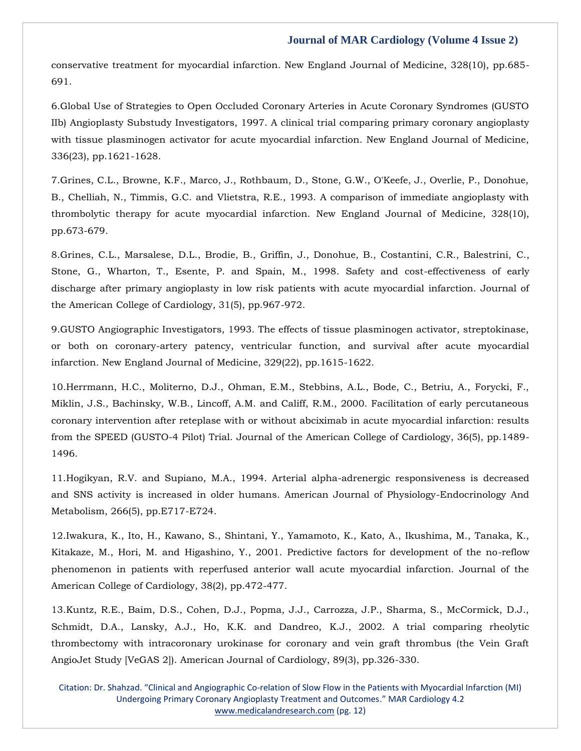[conservative treatment for myocardial infarction. New England Journal of Medicine, 328\(10\), pp.685-](https://www.google.com/search?q=Immediate+angioplasty+compared+with+the+administration+of+a+thrombolytic+agent+followed+by+conservative+treatment+for+myocardial+infarction&sxsrf=AOaemvJW6ehTqCKoEA3n3CMqir_3GMG18g%3A1643272696600&ei=-FnyYffzI73E4-EPl-a60AM&ved=0ahUKEwj3z-Xqw9H1AhU94jgGHRezDjoQ4dUDCA4&uact=5&oq=Immediate+angioplasty+compared+with+the+administration+of+a+thrombolytic+agent+followed+by+conservative+treatment+for+myocardial+infarction&gs_lcp=Cgdnd3Mtd2l6EAMyBwgjEOoCECcyBwgjEOoCECcyBwgjEOoCECcyBwgjEOoCECcyBwgjEOoCECcyBwgjEOoCECcyBwgjEOoCECcyBwgjEOoCECcyBwgjEOoCECcyBwgjEOoCECdKBAhBGABKBAhGGABQzwVYzwVg7wdoAXAAeACAAQCIAQCSAQCYAQCgAQGgAQKwAQrAAQE&sclient=gws-wiz) [691.](https://www.google.com/search?q=Immediate+angioplasty+compared+with+the+administration+of+a+thrombolytic+agent+followed+by+conservative+treatment+for+myocardial+infarction&sxsrf=AOaemvJW6ehTqCKoEA3n3CMqir_3GMG18g%3A1643272696600&ei=-FnyYffzI73E4-EPl-a60AM&ved=0ahUKEwj3z-Xqw9H1AhU94jgGHRezDjoQ4dUDCA4&uact=5&oq=Immediate+angioplasty+compared+with+the+administration+of+a+thrombolytic+agent+followed+by+conservative+treatment+for+myocardial+infarction&gs_lcp=Cgdnd3Mtd2l6EAMyBwgjEOoCECcyBwgjEOoCECcyBwgjEOoCECcyBwgjEOoCECcyBwgjEOoCECcyBwgjEOoCECcyBwgjEOoCECcyBwgjEOoCECcyBwgjEOoCECcyBwgjEOoCECdKBAhBGABKBAhGGABQzwVYzwVg7wdoAXAAeACAAQCIAQCSAQCYAQCgAQGgAQKwAQrAAQE&sclient=gws-wiz)

6[.Global Use of Strategies to Open Occluded Coronary Arteries in Acute Coronary Syndromes \(GUSTO](https://www.google.com/search?q=Global+Use+of+Strategies+to+Open+Occluded+Coronary+Arteries+in+Acute+Coronary+Syndromes+%28GUSTO+IIb%29+Angioplasty+Substudy+Investigators%2C+1997.+A+clinical+trial+comparing+primary+coronary+angioplasty+with+tissue+plasminogen+activator+for+acute+myocardial+infarction&sxsrf=AOaemvJzSD_W-2Jvc4jEE1Ekjp39rt7o5Q%3A1643272725571&ei=FVryYaGgIrmX4-EPkciWkA0&ved=0ahUKEwjh_s34w9H1AhW5yzgGHRGkBdIQ4dUDCA4&uact=5&oq=Global+Use+of+Strategies+to+Open+Occluded+Coronary+Arteries+in+Acute+Coronary+Syndromes+%28GUSTO+IIb%29+Angioplasty+Substudy+Investigators%2C+1997.+A+clinical+trial+comparing+primary+coronary+angioplasty+with+tissue+plasminogen+activator+for+acute+myocardial+infarction&gs_lcp=Cgdnd3Mtd2l6EAMyBwgjEOoCECcyBwgjEOoCECcyBwgjEOoCECcyBwgjEOoCECcyBwgjEOoCECcyBwgjEOoCECcyBwgjEOoCECcyBwgjEOoCECcyBwgjEOoCECcyBwgjEOoCECdKBAhBGABKBAhGGABQ8AVY8AVgywhoAXAAeACAAQCIAQCSAQCYAQCgAQGgAQKwAQrAAQE&sclient=gws-wiz)  [IIb\) Angioplasty Substudy Investigators, 1997. A clinical trial comparing primary coronary angioplasty](https://www.google.com/search?q=Global+Use+of+Strategies+to+Open+Occluded+Coronary+Arteries+in+Acute+Coronary+Syndromes+%28GUSTO+IIb%29+Angioplasty+Substudy+Investigators%2C+1997.+A+clinical+trial+comparing+primary+coronary+angioplasty+with+tissue+plasminogen+activator+for+acute+myocardial+infarction&sxsrf=AOaemvJzSD_W-2Jvc4jEE1Ekjp39rt7o5Q%3A1643272725571&ei=FVryYaGgIrmX4-EPkciWkA0&ved=0ahUKEwjh_s34w9H1AhW5yzgGHRGkBdIQ4dUDCA4&uact=5&oq=Global+Use+of+Strategies+to+Open+Occluded+Coronary+Arteries+in+Acute+Coronary+Syndromes+%28GUSTO+IIb%29+Angioplasty+Substudy+Investigators%2C+1997.+A+clinical+trial+comparing+primary+coronary+angioplasty+with+tissue+plasminogen+activator+for+acute+myocardial+infarction&gs_lcp=Cgdnd3Mtd2l6EAMyBwgjEOoCECcyBwgjEOoCECcyBwgjEOoCECcyBwgjEOoCECcyBwgjEOoCECcyBwgjEOoCECcyBwgjEOoCECcyBwgjEOoCECcyBwgjEOoCECcyBwgjEOoCECdKBAhBGABKBAhGGABQ8AVY8AVgywhoAXAAeACAAQCIAQCSAQCYAQCgAQGgAQKwAQrAAQE&sclient=gws-wiz)  [with tissue plasminogen activator for acute myocardial infarction. New England Journal of Medicine,](https://www.google.com/search?q=Global+Use+of+Strategies+to+Open+Occluded+Coronary+Arteries+in+Acute+Coronary+Syndromes+%28GUSTO+IIb%29+Angioplasty+Substudy+Investigators%2C+1997.+A+clinical+trial+comparing+primary+coronary+angioplasty+with+tissue+plasminogen+activator+for+acute+myocardial+infarction&sxsrf=AOaemvJzSD_W-2Jvc4jEE1Ekjp39rt7o5Q%3A1643272725571&ei=FVryYaGgIrmX4-EPkciWkA0&ved=0ahUKEwjh_s34w9H1AhW5yzgGHRGkBdIQ4dUDCA4&uact=5&oq=Global+Use+of+Strategies+to+Open+Occluded+Coronary+Arteries+in+Acute+Coronary+Syndromes+%28GUSTO+IIb%29+Angioplasty+Substudy+Investigators%2C+1997.+A+clinical+trial+comparing+primary+coronary+angioplasty+with+tissue+plasminogen+activator+for+acute+myocardial+infarction&gs_lcp=Cgdnd3Mtd2l6EAMyBwgjEOoCECcyBwgjEOoCECcyBwgjEOoCECcyBwgjEOoCECcyBwgjEOoCECcyBwgjEOoCECcyBwgjEOoCECcyBwgjEOoCECcyBwgjEOoCECcyBwgjEOoCECdKBAhBGABKBAhGGABQ8AVY8AVgywhoAXAAeACAAQCIAQCSAQCYAQCgAQGgAQKwAQrAAQE&sclient=gws-wiz)  [336\(23\), pp.1621-1628.](https://www.google.com/search?q=Global+Use+of+Strategies+to+Open+Occluded+Coronary+Arteries+in+Acute+Coronary+Syndromes+%28GUSTO+IIb%29+Angioplasty+Substudy+Investigators%2C+1997.+A+clinical+trial+comparing+primary+coronary+angioplasty+with+tissue+plasminogen+activator+for+acute+myocardial+infarction&sxsrf=AOaemvJzSD_W-2Jvc4jEE1Ekjp39rt7o5Q%3A1643272725571&ei=FVryYaGgIrmX4-EPkciWkA0&ved=0ahUKEwjh_s34w9H1AhW5yzgGHRGkBdIQ4dUDCA4&uact=5&oq=Global+Use+of+Strategies+to+Open+Occluded+Coronary+Arteries+in+Acute+Coronary+Syndromes+%28GUSTO+IIb%29+Angioplasty+Substudy+Investigators%2C+1997.+A+clinical+trial+comparing+primary+coronary+angioplasty+with+tissue+plasminogen+activator+for+acute+myocardial+infarction&gs_lcp=Cgdnd3Mtd2l6EAMyBwgjEOoCECcyBwgjEOoCECcyBwgjEOoCECcyBwgjEOoCECcyBwgjEOoCECcyBwgjEOoCECcyBwgjEOoCECcyBwgjEOoCECcyBwgjEOoCECcyBwgjEOoCECdKBAhBGABKBAhGGABQ8AVY8AVgywhoAXAAeACAAQCIAQCSAQCYAQCgAQGgAQKwAQrAAQE&sclient=gws-wiz)

7[.Grines, C.L., Browne, K.F., Marco, J., Rothbaum, D., Stone, G.W., O'Keefe, J., Overlie, P., Donohue,](https://www.google.com/search?q=A+comparison+of+immediate+angioplasty+with+thrombolytic+therapy+for+acute+myocardial+infarction&sxsrf=AOaemvLsKy3jHVX0UC-zU7MHL3HpIYcbWw%3A1643272781199&ei=TVryYfrKC-ee4-EPvf-o4Ao&ved=0ahUKEwi6pZGTxNH1AhVnzzgGHb0_CqwQ4dUDCA4&uact=5&oq=A+comparison+of+immediate+angioplasty+with+thrombolytic+therapy+for+acute+myocardial+infarction&gs_lcp=Cgdnd3Mtd2l6EAMyBwgjEOoCECcyBwgjEOoCECcyBwgjEOoCECcyBwgjEOoCECcyBwgjEOoCECcyBwgjEOoCECcyBwgjEOoCECcyBwgjEOoCECcyBwgjEOoCECcyBwgjEOoCECdKBAhBGABKBAhGGABQ4QRY4QRg5wZoAXAAeACAAQCIAQCSAQCYAQCgAQGgAQKwAQrAAQE&sclient=gws-wiz)  [B., Chelliah, N., Timmis, G.C. and Vlietstra, R.E., 1993. A comparison of immediate angioplasty with](https://www.google.com/search?q=A+comparison+of+immediate+angioplasty+with+thrombolytic+therapy+for+acute+myocardial+infarction&sxsrf=AOaemvLsKy3jHVX0UC-zU7MHL3HpIYcbWw%3A1643272781199&ei=TVryYfrKC-ee4-EPvf-o4Ao&ved=0ahUKEwi6pZGTxNH1AhVnzzgGHb0_CqwQ4dUDCA4&uact=5&oq=A+comparison+of+immediate+angioplasty+with+thrombolytic+therapy+for+acute+myocardial+infarction&gs_lcp=Cgdnd3Mtd2l6EAMyBwgjEOoCECcyBwgjEOoCECcyBwgjEOoCECcyBwgjEOoCECcyBwgjEOoCECcyBwgjEOoCECcyBwgjEOoCECcyBwgjEOoCECcyBwgjEOoCECcyBwgjEOoCECdKBAhBGABKBAhGGABQ4QRY4QRg5wZoAXAAeACAAQCIAQCSAQCYAQCgAQGgAQKwAQrAAQE&sclient=gws-wiz)  [thrombolytic therapy for acute myocardial infarction. New England Journal of Medicine, 328\(10\),](https://www.google.com/search?q=A+comparison+of+immediate+angioplasty+with+thrombolytic+therapy+for+acute+myocardial+infarction&sxsrf=AOaemvLsKy3jHVX0UC-zU7MHL3HpIYcbWw%3A1643272781199&ei=TVryYfrKC-ee4-EPvf-o4Ao&ved=0ahUKEwi6pZGTxNH1AhVnzzgGHb0_CqwQ4dUDCA4&uact=5&oq=A+comparison+of+immediate+angioplasty+with+thrombolytic+therapy+for+acute+myocardial+infarction&gs_lcp=Cgdnd3Mtd2l6EAMyBwgjEOoCECcyBwgjEOoCECcyBwgjEOoCECcyBwgjEOoCECcyBwgjEOoCECcyBwgjEOoCECcyBwgjEOoCECcyBwgjEOoCECcyBwgjEOoCECcyBwgjEOoCECdKBAhBGABKBAhGGABQ4QRY4QRg5wZoAXAAeACAAQCIAQCSAQCYAQCgAQGgAQKwAQrAAQE&sclient=gws-wiz)  [pp.673-679.](https://www.google.com/search?q=A+comparison+of+immediate+angioplasty+with+thrombolytic+therapy+for+acute+myocardial+infarction&sxsrf=AOaemvLsKy3jHVX0UC-zU7MHL3HpIYcbWw%3A1643272781199&ei=TVryYfrKC-ee4-EPvf-o4Ao&ved=0ahUKEwi6pZGTxNH1AhVnzzgGHb0_CqwQ4dUDCA4&uact=5&oq=A+comparison+of+immediate+angioplasty+with+thrombolytic+therapy+for+acute+myocardial+infarction&gs_lcp=Cgdnd3Mtd2l6EAMyBwgjEOoCECcyBwgjEOoCECcyBwgjEOoCECcyBwgjEOoCECcyBwgjEOoCECcyBwgjEOoCECcyBwgjEOoCECcyBwgjEOoCECcyBwgjEOoCECcyBwgjEOoCECdKBAhBGABKBAhGGABQ4QRY4QRg5wZoAXAAeACAAQCIAQCSAQCYAQCgAQGgAQKwAQrAAQE&sclient=gws-wiz)

8[.Grines, C.L., Marsalese, D.L., Brodie, B., Griffin, J., Donohue, B., Costantini, C.R., Balestrini,](https://www.google.com/search?q=Safety+and+cost-effectiveness+of+early+discharge+after+primary+angioplasty+in+low+risk+patients+with+acute+myocardial+infarction&sxsrf=AOaemvJubHeXOP1M7tGJkFf0-oJlS6q29w%3A1643272803977&ei=Y1ryYef6OqCe4-EPtL26sA8&ved=0ahUKEwinuP-dxNH1AhUgzzgGHbSeDvYQ4dUDCA4&uact=5&oq=Safety+and+cost-effectiveness+of+early+discharge+after+primary+angioplasty+in+low+risk+patients+with+acute+myocardial+infarction&gs_lcp=Cgdnd3Mtd2l6EAMyBwgjEOoCECcyBwgjEOoCECcyBwgjEOoCECcyBwgjEOoCECcyBwgjEOoCECcyBwgjEOoCECcyBwgjEOoCECcyBwgjEOoCECcyBwgjEOoCECcyBwgjEOoCECdKBAhBGABKBAhGGABQqgVYqgVgvgdoAXACeACAAQCIAQCSAQCYAQCgAQGgAQKwAQrAAQE&sclient=gws-wiz) C., [Stone, G., Wharton, T., Esente, P. and Spain, M., 1998. Safety and cost-effectiveness of early](https://www.google.com/search?q=Safety+and+cost-effectiveness+of+early+discharge+after+primary+angioplasty+in+low+risk+patients+with+acute+myocardial+infarction&sxsrf=AOaemvJubHeXOP1M7tGJkFf0-oJlS6q29w%3A1643272803977&ei=Y1ryYef6OqCe4-EPtL26sA8&ved=0ahUKEwinuP-dxNH1AhUgzzgGHbSeDvYQ4dUDCA4&uact=5&oq=Safety+and+cost-effectiveness+of+early+discharge+after+primary+angioplasty+in+low+risk+patients+with+acute+myocardial+infarction&gs_lcp=Cgdnd3Mtd2l6EAMyBwgjEOoCECcyBwgjEOoCECcyBwgjEOoCECcyBwgjEOoCECcyBwgjEOoCECcyBwgjEOoCECcyBwgjEOoCECcyBwgjEOoCECcyBwgjEOoCECcyBwgjEOoCECdKBAhBGABKBAhGGABQqgVYqgVgvgdoAXACeACAAQCIAQCSAQCYAQCgAQGgAQKwAQrAAQE&sclient=gws-wiz)  [discharge after primary angioplasty in low risk patients with acute myocardial infarction. Journal of](https://www.google.com/search?q=Safety+and+cost-effectiveness+of+early+discharge+after+primary+angioplasty+in+low+risk+patients+with+acute+myocardial+infarction&sxsrf=AOaemvJubHeXOP1M7tGJkFf0-oJlS6q29w%3A1643272803977&ei=Y1ryYef6OqCe4-EPtL26sA8&ved=0ahUKEwinuP-dxNH1AhUgzzgGHbSeDvYQ4dUDCA4&uact=5&oq=Safety+and+cost-effectiveness+of+early+discharge+after+primary+angioplasty+in+low+risk+patients+with+acute+myocardial+infarction&gs_lcp=Cgdnd3Mtd2l6EAMyBwgjEOoCECcyBwgjEOoCECcyBwgjEOoCECcyBwgjEOoCECcyBwgjEOoCECcyBwgjEOoCECcyBwgjEOoCECcyBwgjEOoCECcyBwgjEOoCECcyBwgjEOoCECdKBAhBGABKBAhGGABQqgVYqgVgvgdoAXACeACAAQCIAQCSAQCYAQCgAQGgAQKwAQrAAQE&sclient=gws-wiz)  [the American College of Cardiology, 31\(5\), pp.967-972.](https://www.google.com/search?q=Safety+and+cost-effectiveness+of+early+discharge+after+primary+angioplasty+in+low+risk+patients+with+acute+myocardial+infarction&sxsrf=AOaemvJubHeXOP1M7tGJkFf0-oJlS6q29w%3A1643272803977&ei=Y1ryYef6OqCe4-EPtL26sA8&ved=0ahUKEwinuP-dxNH1AhUgzzgGHbSeDvYQ4dUDCA4&uact=5&oq=Safety+and+cost-effectiveness+of+early+discharge+after+primary+angioplasty+in+low+risk+patients+with+acute+myocardial+infarction&gs_lcp=Cgdnd3Mtd2l6EAMyBwgjEOoCECcyBwgjEOoCECcyBwgjEOoCECcyBwgjEOoCECcyBwgjEOoCECcyBwgjEOoCECcyBwgjEOoCECcyBwgjEOoCECcyBwgjEOoCECcyBwgjEOoCECdKBAhBGABKBAhGGABQqgVYqgVgvgdoAXACeACAAQCIAQCSAQCYAQCgAQGgAQKwAQrAAQE&sclient=gws-wiz)

9.GUSTO [Angiographic Investigators, 1993. The effects of tissue plasminogen activator, streptokinase,](https://www.google.com/search?q=The+effects+of+tissue+plasminogen+activator%2C+streptokinase%2C+or+both+on+coronary-artery+patency%2C+ventricular+function%2C+and+survival+after+acute+myocardial+infarction&sxsrf=AOaemvIoQ76MOLOKZPeHuNMEpFkiQa8tkA%3A1643272821132&ei=dVryYcWfB_OZ4-EPiOWA8As&ved=0ahUKEwiFrpamxNH1AhXzzDgGHYgyAL4Q4dUDCA4&uact=5&oq=The+effects+of+tissue+plasminogen+activator%2C+streptokinase%2C+or+both+on+coronary-artery+patency%2C+ventricular+function%2C+and+survival+after+acute+myocardial+infarction&gs_lcp=Cgdnd3Mtd2l6EAMyBwgjEOoCECcyBwgjEOoCECcyBwgjEOoCECcyBwgjEOoCECcyBwgjEOoCECcyBwgjEOoCECcyBwgjEOoCECcyBwgjEOoCECcyBwgjEOoCECcyBwgjEOoCECdKBAhBGABKBAhGGABQtQVYtQVgqgdoAXAAeACAAQCIAQCSAQCYAQCgAQGgAQKwAQrAAQE&sclient=gws-wiz)  [or both on coronary-artery patency, ventricular function, and survival after acute myocardial](https://www.google.com/search?q=The+effects+of+tissue+plasminogen+activator%2C+streptokinase%2C+or+both+on+coronary-artery+patency%2C+ventricular+function%2C+and+survival+after+acute+myocardial+infarction&sxsrf=AOaemvIoQ76MOLOKZPeHuNMEpFkiQa8tkA%3A1643272821132&ei=dVryYcWfB_OZ4-EPiOWA8As&ved=0ahUKEwiFrpamxNH1AhXzzDgGHYgyAL4Q4dUDCA4&uact=5&oq=The+effects+of+tissue+plasminogen+activator%2C+streptokinase%2C+or+both+on+coronary-artery+patency%2C+ventricular+function%2C+and+survival+after+acute+myocardial+infarction&gs_lcp=Cgdnd3Mtd2l6EAMyBwgjEOoCECcyBwgjEOoCECcyBwgjEOoCECcyBwgjEOoCECcyBwgjEOoCECcyBwgjEOoCECcyBwgjEOoCECcyBwgjEOoCECcyBwgjEOoCECcyBwgjEOoCECdKBAhBGABKBAhGGABQtQVYtQVgqgdoAXAAeACAAQCIAQCSAQCYAQCgAQGgAQKwAQrAAQE&sclient=gws-wiz)  [infarction. New England Journal of Medicine, 329\(22\), pp.1615-1622.](https://www.google.com/search?q=The+effects+of+tissue+plasminogen+activator%2C+streptokinase%2C+or+both+on+coronary-artery+patency%2C+ventricular+function%2C+and+survival+after+acute+myocardial+infarction&sxsrf=AOaemvIoQ76MOLOKZPeHuNMEpFkiQa8tkA%3A1643272821132&ei=dVryYcWfB_OZ4-EPiOWA8As&ved=0ahUKEwiFrpamxNH1AhXzzDgGHYgyAL4Q4dUDCA4&uact=5&oq=The+effects+of+tissue+plasminogen+activator%2C+streptokinase%2C+or+both+on+coronary-artery+patency%2C+ventricular+function%2C+and+survival+after+acute+myocardial+infarction&gs_lcp=Cgdnd3Mtd2l6EAMyBwgjEOoCECcyBwgjEOoCECcyBwgjEOoCECcyBwgjEOoCECcyBwgjEOoCECcyBwgjEOoCECcyBwgjEOoCECcyBwgjEOoCECcyBwgjEOoCECcyBwgjEOoCECdKBAhBGABKBAhGGABQtQVYtQVgqgdoAXAAeACAAQCIAQCSAQCYAQCgAQGgAQKwAQrAAQE&sclient=gws-wiz)

10[.Herrmann, H.C., Moliterno, D.J., Ohman, E.M., Stebbins, A.L., Bode, C., Betriu, A., Forycki, F.,](https://www.google.com/search?q=Facilitation+of+early+percutaneous+coronary+intervention+after+reteplase+with+or+without+abciximab+in+acute+myocardial+infarction%3A+results+from+the+SPEED+%28GUSTO-4+Pilot%29+Trial&sxsrf=AOaemvK8a_e-AEJm6VXb8IUB3MGroybT4Q%3A1643272841048&ei=iVryYYStAuyF4-EPx4mbkAw&ved=0ahUKEwjEldavxNH1AhXswjgGHcfEBsIQ4dUDCA4&uact=5&oq=Facilitation+of+early+percutaneous+coronary+intervention+after+reteplase+with+or+without+abciximab+in+acute+myocardial+infarction%3A+results+from+the+SPEED+%28GUSTO-4+Pilot%29+Trial&gs_lcp=Cgdnd3Mtd2l6EAMyBwgjEOoCECcyBwgjEOoCECcyBwgjEOoCECcyBwgjEOoCECcyBwgjEOoCECcyBwgjEOoCECcyBwgjEOoCECcyBwgjEOoCECcyBwgjEOoCECcyBwgjEOoCECdKBAhBGABKBAhGGABQ0QhY0QhgjQtoAXACeACAAQCIAQCSAQCYAQCgAQGgAQKwAQrAAQE&sclient=gws-wiz)  [Miklin, J.S., Bachinsky, W.B., Lincoff, A.M. and Califf, R.M., 2000. Facilitation of early percutaneous](https://www.google.com/search?q=Facilitation+of+early+percutaneous+coronary+intervention+after+reteplase+with+or+without+abciximab+in+acute+myocardial+infarction%3A+results+from+the+SPEED+%28GUSTO-4+Pilot%29+Trial&sxsrf=AOaemvK8a_e-AEJm6VXb8IUB3MGroybT4Q%3A1643272841048&ei=iVryYYStAuyF4-EPx4mbkAw&ved=0ahUKEwjEldavxNH1AhXswjgGHcfEBsIQ4dUDCA4&uact=5&oq=Facilitation+of+early+percutaneous+coronary+intervention+after+reteplase+with+or+without+abciximab+in+acute+myocardial+infarction%3A+results+from+the+SPEED+%28GUSTO-4+Pilot%29+Trial&gs_lcp=Cgdnd3Mtd2l6EAMyBwgjEOoCECcyBwgjEOoCECcyBwgjEOoCECcyBwgjEOoCECcyBwgjEOoCECcyBwgjEOoCECcyBwgjEOoCECcyBwgjEOoCECcyBwgjEOoCECcyBwgjEOoCECdKBAhBGABKBAhGGABQ0QhY0QhgjQtoAXACeACAAQCIAQCSAQCYAQCgAQGgAQKwAQrAAQE&sclient=gws-wiz)  [coronary intervention after reteplase with or without abciximab in acute myocardial infarction: results](https://www.google.com/search?q=Facilitation+of+early+percutaneous+coronary+intervention+after+reteplase+with+or+without+abciximab+in+acute+myocardial+infarction%3A+results+from+the+SPEED+%28GUSTO-4+Pilot%29+Trial&sxsrf=AOaemvK8a_e-AEJm6VXb8IUB3MGroybT4Q%3A1643272841048&ei=iVryYYStAuyF4-EPx4mbkAw&ved=0ahUKEwjEldavxNH1AhXswjgGHcfEBsIQ4dUDCA4&uact=5&oq=Facilitation+of+early+percutaneous+coronary+intervention+after+reteplase+with+or+without+abciximab+in+acute+myocardial+infarction%3A+results+from+the+SPEED+%28GUSTO-4+Pilot%29+Trial&gs_lcp=Cgdnd3Mtd2l6EAMyBwgjEOoCECcyBwgjEOoCECcyBwgjEOoCECcyBwgjEOoCECcyBwgjEOoCECcyBwgjEOoCECcyBwgjEOoCECcyBwgjEOoCECcyBwgjEOoCECcyBwgjEOoCECdKBAhBGABKBAhGGABQ0QhY0QhgjQtoAXACeACAAQCIAQCSAQCYAQCgAQGgAQKwAQrAAQE&sclient=gws-wiz)  [from the SPEED \(GUSTO-4 Pilot\) Trial. Journal of the American College of Cardiology, 36\(5\), pp.1489-](https://www.google.com/search?q=Facilitation+of+early+percutaneous+coronary+intervention+after+reteplase+with+or+without+abciximab+in+acute+myocardial+infarction%3A+results+from+the+SPEED+%28GUSTO-4+Pilot%29+Trial&sxsrf=AOaemvK8a_e-AEJm6VXb8IUB3MGroybT4Q%3A1643272841048&ei=iVryYYStAuyF4-EPx4mbkAw&ved=0ahUKEwjEldavxNH1AhXswjgGHcfEBsIQ4dUDCA4&uact=5&oq=Facilitation+of+early+percutaneous+coronary+intervention+after+reteplase+with+or+without+abciximab+in+acute+myocardial+infarction%3A+results+from+the+SPEED+%28GUSTO-4+Pilot%29+Trial&gs_lcp=Cgdnd3Mtd2l6EAMyBwgjEOoCECcyBwgjEOoCECcyBwgjEOoCECcyBwgjEOoCECcyBwgjEOoCECcyBwgjEOoCECcyBwgjEOoCECcyBwgjEOoCECcyBwgjEOoCECcyBwgjEOoCECdKBAhBGABKBAhGGABQ0QhY0QhgjQtoAXACeACAAQCIAQCSAQCYAQCgAQGgAQKwAQrAAQE&sclient=gws-wiz) [1496.](https://www.google.com/search?q=Facilitation+of+early+percutaneous+coronary+intervention+after+reteplase+with+or+without+abciximab+in+acute+myocardial+infarction%3A+results+from+the+SPEED+%28GUSTO-4+Pilot%29+Trial&sxsrf=AOaemvK8a_e-AEJm6VXb8IUB3MGroybT4Q%3A1643272841048&ei=iVryYYStAuyF4-EPx4mbkAw&ved=0ahUKEwjEldavxNH1AhXswjgGHcfEBsIQ4dUDCA4&uact=5&oq=Facilitation+of+early+percutaneous+coronary+intervention+after+reteplase+with+or+without+abciximab+in+acute+myocardial+infarction%3A+results+from+the+SPEED+%28GUSTO-4+Pilot%29+Trial&gs_lcp=Cgdnd3Mtd2l6EAMyBwgjEOoCECcyBwgjEOoCECcyBwgjEOoCECcyBwgjEOoCECcyBwgjEOoCECcyBwgjEOoCECcyBwgjEOoCECcyBwgjEOoCECcyBwgjEOoCECcyBwgjEOoCECdKBAhBGABKBAhGGABQ0QhY0QhgjQtoAXACeACAAQCIAQCSAQCYAQCgAQGgAQKwAQrAAQE&sclient=gws-wiz)

11[.Hogikyan, R.V. and Supiano, M.A., 1994. Arterial alpha-adrenergic responsiveness is](https://www.google.com/search?q=Arterial+alpha-adrenergic+responsiveness+is+decreased+and+SNS+activity+is+increased+in+older+humans&sxsrf=AOaemvJYYeB-5FJkIbB77ePV8WdEF7rZQw%3A1643272866816&ei=olryYdinMaC84-EPzvm-yAU&ved=0ahUKEwjYgPu7xNH1AhUg3jgGHc68D1kQ4dUDCA4&uact=5&oq=Arterial+alpha-adrenergic+responsiveness+is+decreased+and+SNS+activity+is+increased+in+older+humans&gs_lcp=Cgdnd3Mtd2l6EAM6BwgjEOoCECdKBAhBGABKBAhGGABQpQVYpQVgrQdoAXAAeACAAfoBiAH6AZIBAzItMZgBAKABAaABArABCsABAQ&sclient=gws-wiz) decreased [and SNS activity is increased in older humans. American Journal of Physiology-Endocrinology And](https://www.google.com/search?q=Arterial+alpha-adrenergic+responsiveness+is+decreased+and+SNS+activity+is+increased+in+older+humans&sxsrf=AOaemvJYYeB-5FJkIbB77ePV8WdEF7rZQw%3A1643272866816&ei=olryYdinMaC84-EPzvm-yAU&ved=0ahUKEwjYgPu7xNH1AhUg3jgGHc68D1kQ4dUDCA4&uact=5&oq=Arterial+alpha-adrenergic+responsiveness+is+decreased+and+SNS+activity+is+increased+in+older+humans&gs_lcp=Cgdnd3Mtd2l6EAM6BwgjEOoCECdKBAhBGABKBAhGGABQpQVYpQVgrQdoAXAAeACAAfoBiAH6AZIBAzItMZgBAKABAaABArABCsABAQ&sclient=gws-wiz)  [Metabolism, 266\(5\), pp.E717-E724.](https://www.google.com/search?q=Arterial+alpha-adrenergic+responsiveness+is+decreased+and+SNS+activity+is+increased+in+older+humans&sxsrf=AOaemvJYYeB-5FJkIbB77ePV8WdEF7rZQw%3A1643272866816&ei=olryYdinMaC84-EPzvm-yAU&ved=0ahUKEwjYgPu7xNH1AhUg3jgGHc68D1kQ4dUDCA4&uact=5&oq=Arterial+alpha-adrenergic+responsiveness+is+decreased+and+SNS+activity+is+increased+in+older+humans&gs_lcp=Cgdnd3Mtd2l6EAM6BwgjEOoCECdKBAhBGABKBAhGGABQpQVYpQVgrQdoAXAAeACAAfoBiAH6AZIBAzItMZgBAKABAaABArABCsABAQ&sclient=gws-wiz)

12[.Iwakura, K., Ito, H., Kawano, S., Shintani, Y., Yamamoto, K., Kato, A., Ikushima, M., Tanaka, K.,](https://www.google.com/search?q=Predictive+factors+for+development+of+the+no-reflow+phenomenon+in+patients+with+reperfused+anterior+wall+acute+myocardial+infarction&sxsrf=AOaemvK9iXHFdgHkxw6jP1Qf7oJ_jcyAWQ%3A1643272883514&ei=s1ryYYLoHsiF4-EPgeSV6Ak&ved=0ahUKEwjCjfbDxNH1AhXIwjgGHQFyBZ0Q4dUDCA4&uact=5&oq=Predictive+factors+for+development+of+the+no-reflow+phenomenon+in+patients+with+reperfused+anterior+wall+acute+myocardial+infarction&gs_lcp=Cgdnd3Mtd2l6EAMyBwgjEOoCECcyBwgjEOoCECcyBwgjEOoCECcyBwgjEOoCECcyBwgjEOoCECcyBwgjEOoCECcyBwgjEOoCECcyBwgjEOoCECcyBwgjEOoCECcyBwgjEOoCECdKBAhBGABKBAhGGABQkQZYkQZg1ghoAXAAeACAAQCIAQCSAQCYAQCgAQGgAQKwAQrAAQE&sclient=gws-wiz)  [Kitakaze, M., Hori, M. and Higashino, Y., 2001. Predictive factors for development of the no-reflow](https://www.google.com/search?q=Predictive+factors+for+development+of+the+no-reflow+phenomenon+in+patients+with+reperfused+anterior+wall+acute+myocardial+infarction&sxsrf=AOaemvK9iXHFdgHkxw6jP1Qf7oJ_jcyAWQ%3A1643272883514&ei=s1ryYYLoHsiF4-EPgeSV6Ak&ved=0ahUKEwjCjfbDxNH1AhXIwjgGHQFyBZ0Q4dUDCA4&uact=5&oq=Predictive+factors+for+development+of+the+no-reflow+phenomenon+in+patients+with+reperfused+anterior+wall+acute+myocardial+infarction&gs_lcp=Cgdnd3Mtd2l6EAMyBwgjEOoCECcyBwgjEOoCECcyBwgjEOoCECcyBwgjEOoCECcyBwgjEOoCECcyBwgjEOoCECcyBwgjEOoCECcyBwgjEOoCECcyBwgjEOoCECcyBwgjEOoCECdKBAhBGABKBAhGGABQkQZYkQZg1ghoAXAAeACAAQCIAQCSAQCYAQCgAQGgAQKwAQrAAQE&sclient=gws-wiz)  [phenomenon in patients with reperfused anterior wall acute myocardial infarction. Journal of the](https://www.google.com/search?q=Predictive+factors+for+development+of+the+no-reflow+phenomenon+in+patients+with+reperfused+anterior+wall+acute+myocardial+infarction&sxsrf=AOaemvK9iXHFdgHkxw6jP1Qf7oJ_jcyAWQ%3A1643272883514&ei=s1ryYYLoHsiF4-EPgeSV6Ak&ved=0ahUKEwjCjfbDxNH1AhXIwjgGHQFyBZ0Q4dUDCA4&uact=5&oq=Predictive+factors+for+development+of+the+no-reflow+phenomenon+in+patients+with+reperfused+anterior+wall+acute+myocardial+infarction&gs_lcp=Cgdnd3Mtd2l6EAMyBwgjEOoCECcyBwgjEOoCECcyBwgjEOoCECcyBwgjEOoCECcyBwgjEOoCECcyBwgjEOoCECcyBwgjEOoCECcyBwgjEOoCECcyBwgjEOoCECcyBwgjEOoCECdKBAhBGABKBAhGGABQkQZYkQZg1ghoAXAAeACAAQCIAQCSAQCYAQCgAQGgAQKwAQrAAQE&sclient=gws-wiz)  [American College of Cardiology, 38\(2\), pp.472-477.](https://www.google.com/search?q=Predictive+factors+for+development+of+the+no-reflow+phenomenon+in+patients+with+reperfused+anterior+wall+acute+myocardial+infarction&sxsrf=AOaemvK9iXHFdgHkxw6jP1Qf7oJ_jcyAWQ%3A1643272883514&ei=s1ryYYLoHsiF4-EPgeSV6Ak&ved=0ahUKEwjCjfbDxNH1AhXIwjgGHQFyBZ0Q4dUDCA4&uact=5&oq=Predictive+factors+for+development+of+the+no-reflow+phenomenon+in+patients+with+reperfused+anterior+wall+acute+myocardial+infarction&gs_lcp=Cgdnd3Mtd2l6EAMyBwgjEOoCECcyBwgjEOoCECcyBwgjEOoCECcyBwgjEOoCECcyBwgjEOoCECcyBwgjEOoCECcyBwgjEOoCECcyBwgjEOoCECcyBwgjEOoCECcyBwgjEOoCECdKBAhBGABKBAhGGABQkQZYkQZg1ghoAXAAeACAAQCIAQCSAQCYAQCgAQGgAQKwAQrAAQE&sclient=gws-wiz)

13[.Kuntz, R.E., Baim, D.S., Cohen, D.J., Popma, J.J., Carrozza, J.P., Sharma, S., McCormick, D.J.,](https://www.google.com/search?q=A+trial+comparing+rheolytic+thrombectomy+with+intracoronary+urokinase+for+coronary+and+vein+graft+thrombus+%28the+Vein+Graft+AngioJet+Study+%5BVeGAS+2%5D%29&sxsrf=AOaemvK3DtS_JHPcM6ERJTc5hOf1eXU2fQ%3A1643272903049&ei=x1ryYaC9ArqF4-EPtvuJ-Aw&ved=0ahUKEwjgvJ7NxNH1AhW6wjgGHbZ9As8Q4dUDCA4&uact=5&oq=A+trial+comparing+rheolytic+thrombectomy+with+intracoronary+urokinase+for+coronary+and+vein+graft+thrombus+%28the+Vein+Graft+AngioJet+Study+%5BVeGAS+2%5D%29&gs_lcp=Cgdnd3Mtd2l6EAMyBwgjEOoCECcyBwgjEOoCECcyBwgjEOoCECcyBwgjEOoCECcyBwgjEOoCECcyBwgjEOoCECcyBwgjEOoCECcyBwgjEOoCECcyBwgjEOoCECcyBwgjEOoCECdKBAhBGABKBAhGGABQ-AVY-AVgzwhoAXAAeACAAQCIAQCSAQCYAQCgAQGgAQKwAQrAAQE&sclient=gws-wiz)  [Schmidt, D.A., Lansky, A.J., Ho, K.K. and Dandreo, K.J., 2002. A trial comparing rheolytic](https://www.google.com/search?q=A+trial+comparing+rheolytic+thrombectomy+with+intracoronary+urokinase+for+coronary+and+vein+graft+thrombus+%28the+Vein+Graft+AngioJet+Study+%5BVeGAS+2%5D%29&sxsrf=AOaemvK3DtS_JHPcM6ERJTc5hOf1eXU2fQ%3A1643272903049&ei=x1ryYaC9ArqF4-EPtvuJ-Aw&ved=0ahUKEwjgvJ7NxNH1AhW6wjgGHbZ9As8Q4dUDCA4&uact=5&oq=A+trial+comparing+rheolytic+thrombectomy+with+intracoronary+urokinase+for+coronary+and+vein+graft+thrombus+%28the+Vein+Graft+AngioJet+Study+%5BVeGAS+2%5D%29&gs_lcp=Cgdnd3Mtd2l6EAMyBwgjEOoCECcyBwgjEOoCECcyBwgjEOoCECcyBwgjEOoCECcyBwgjEOoCECcyBwgjEOoCECcyBwgjEOoCECcyBwgjEOoCECcyBwgjEOoCECcyBwgjEOoCECdKBAhBGABKBAhGGABQ-AVY-AVgzwhoAXAAeACAAQCIAQCSAQCYAQCgAQGgAQKwAQrAAQE&sclient=gws-wiz)  [thrombectomy with intracoronary urokinase for coronary and vein graft thrombus \(the Vein Graft](https://www.google.com/search?q=A+trial+comparing+rheolytic+thrombectomy+with+intracoronary+urokinase+for+coronary+and+vein+graft+thrombus+%28the+Vein+Graft+AngioJet+Study+%5BVeGAS+2%5D%29&sxsrf=AOaemvK3DtS_JHPcM6ERJTc5hOf1eXU2fQ%3A1643272903049&ei=x1ryYaC9ArqF4-EPtvuJ-Aw&ved=0ahUKEwjgvJ7NxNH1AhW6wjgGHbZ9As8Q4dUDCA4&uact=5&oq=A+trial+comparing+rheolytic+thrombectomy+with+intracoronary+urokinase+for+coronary+and+vein+graft+thrombus+%28the+Vein+Graft+AngioJet+Study+%5BVeGAS+2%5D%29&gs_lcp=Cgdnd3Mtd2l6EAMyBwgjEOoCECcyBwgjEOoCECcyBwgjEOoCECcyBwgjEOoCECcyBwgjEOoCECcyBwgjEOoCECcyBwgjEOoCECcyBwgjEOoCECcyBwgjEOoCECcyBwgjEOoCECdKBAhBGABKBAhGGABQ-AVY-AVgzwhoAXAAeACAAQCIAQCSAQCYAQCgAQGgAQKwAQrAAQE&sclient=gws-wiz)  [AngioJet Study \[VeGAS 2\]\). American Journal of Cardiology, 89\(3\), pp.326-330.](https://www.google.com/search?q=A+trial+comparing+rheolytic+thrombectomy+with+intracoronary+urokinase+for+coronary+and+vein+graft+thrombus+%28the+Vein+Graft+AngioJet+Study+%5BVeGAS+2%5D%29&sxsrf=AOaemvK3DtS_JHPcM6ERJTc5hOf1eXU2fQ%3A1643272903049&ei=x1ryYaC9ArqF4-EPtvuJ-Aw&ved=0ahUKEwjgvJ7NxNH1AhW6wjgGHbZ9As8Q4dUDCA4&uact=5&oq=A+trial+comparing+rheolytic+thrombectomy+with+intracoronary+urokinase+for+coronary+and+vein+graft+thrombus+%28the+Vein+Graft+AngioJet+Study+%5BVeGAS+2%5D%29&gs_lcp=Cgdnd3Mtd2l6EAMyBwgjEOoCECcyBwgjEOoCECcyBwgjEOoCECcyBwgjEOoCECcyBwgjEOoCECcyBwgjEOoCECcyBwgjEOoCECcyBwgjEOoCECcyBwgjEOoCECcyBwgjEOoCECdKBAhBGABKBAhGGABQ-AVY-AVgzwhoAXAAeACAAQCIAQCSAQCYAQCgAQGgAQKwAQrAAQE&sclient=gws-wiz)

Citation: Dr. Shahzad. "Clinical and Angiographic Co-relation of Slow Flow in the Patients with Myocardial Infarction (MI) Undergoing Primary Coronary Angioplasty Treatment and Outcomes." MAR Cardiology 4.2 [www.medicalandresearch.com](http://www.medicalandresearch.com/) (pg. 12)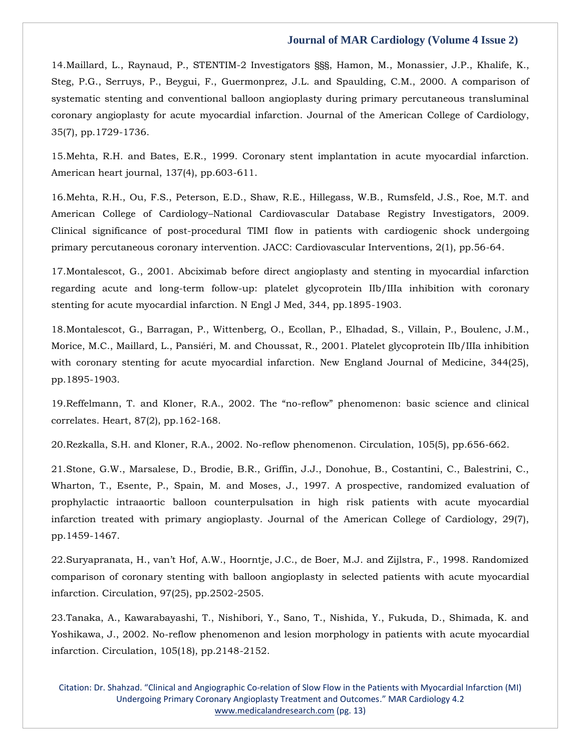14[.Maillard, L., Raynaud, P., STENTIM-2 Investigators §§§, Hamon, M., Monassier, J.P., Khalife, K.,](https://www.google.com/search?q=A+comparison+of+systematic+stenting+and+conventional+balloon+angioplasty+during+primary+percutaneous+transluminal+coronary+angioplasty+for+acute+myocardial+infarction&sxsrf=APq-WBsuXjK6vLVw5uSxvyLgdnF43Va1rA%3A1643272965760&ei=BVvyYfPfLf6XseMPtpuW6Ag&ved=0ahUKEwiz9pHrxNH1AhX-S2wGHbaNBY0Q4dUDCA4&uact=5&oq=A+comparison+of+systematic+stenting+and+conventional+balloon+angioplasty+during+primary+percutaneous+transluminal+coronary+angioplasty+for+acute+myocardial+infarction&gs_lcp=Cgdnd3Mtd2l6EAMyBwgjEOoCECcyBwgjEOoCECcyBwgjEOoCECcyBwgjEOoCECcyBwgjEOoCECcyBwgjEOoCECcyBwgjEOoCECcyBwgjEOoCECcyBwgjEOoCECcyBwgjEOoCECdKBAhBGABKBAhGGABQ3wVY3wVg8gdoAXAAeACAAQCIAQCSAQCYAQCgAQGgAQKwAQrAAQE&sclient=gws-wiz)  [Steg, P.G., Serruys, P., Beygui, F., Guermonprez, J.L. and Spaulding, C.M., 2000. A comparison of](https://www.google.com/search?q=A+comparison+of+systematic+stenting+and+conventional+balloon+angioplasty+during+primary+percutaneous+transluminal+coronary+angioplasty+for+acute+myocardial+infarction&sxsrf=APq-WBsuXjK6vLVw5uSxvyLgdnF43Va1rA%3A1643272965760&ei=BVvyYfPfLf6XseMPtpuW6Ag&ved=0ahUKEwiz9pHrxNH1AhX-S2wGHbaNBY0Q4dUDCA4&uact=5&oq=A+comparison+of+systematic+stenting+and+conventional+balloon+angioplasty+during+primary+percutaneous+transluminal+coronary+angioplasty+for+acute+myocardial+infarction&gs_lcp=Cgdnd3Mtd2l6EAMyBwgjEOoCECcyBwgjEOoCECcyBwgjEOoCECcyBwgjEOoCECcyBwgjEOoCECcyBwgjEOoCECcyBwgjEOoCECcyBwgjEOoCECcyBwgjEOoCECcyBwgjEOoCECdKBAhBGABKBAhGGABQ3wVY3wVg8gdoAXAAeACAAQCIAQCSAQCYAQCgAQGgAQKwAQrAAQE&sclient=gws-wiz)  [systematic stenting and conventional balloon angioplasty during primary percutaneous transluminal](https://www.google.com/search?q=A+comparison+of+systematic+stenting+and+conventional+balloon+angioplasty+during+primary+percutaneous+transluminal+coronary+angioplasty+for+acute+myocardial+infarction&sxsrf=APq-WBsuXjK6vLVw5uSxvyLgdnF43Va1rA%3A1643272965760&ei=BVvyYfPfLf6XseMPtpuW6Ag&ved=0ahUKEwiz9pHrxNH1AhX-S2wGHbaNBY0Q4dUDCA4&uact=5&oq=A+comparison+of+systematic+stenting+and+conventional+balloon+angioplasty+during+primary+percutaneous+transluminal+coronary+angioplasty+for+acute+myocardial+infarction&gs_lcp=Cgdnd3Mtd2l6EAMyBwgjEOoCECcyBwgjEOoCECcyBwgjEOoCECcyBwgjEOoCECcyBwgjEOoCECcyBwgjEOoCECcyBwgjEOoCECcyBwgjEOoCECcyBwgjEOoCECcyBwgjEOoCECdKBAhBGABKBAhGGABQ3wVY3wVg8gdoAXAAeACAAQCIAQCSAQCYAQCgAQGgAQKwAQrAAQE&sclient=gws-wiz)  [coronary angioplasty for acute myocardial infarction. Journal of the American College of Cardiology,](https://www.google.com/search?q=A+comparison+of+systematic+stenting+and+conventional+balloon+angioplasty+during+primary+percutaneous+transluminal+coronary+angioplasty+for+acute+myocardial+infarction&sxsrf=APq-WBsuXjK6vLVw5uSxvyLgdnF43Va1rA%3A1643272965760&ei=BVvyYfPfLf6XseMPtpuW6Ag&ved=0ahUKEwiz9pHrxNH1AhX-S2wGHbaNBY0Q4dUDCA4&uact=5&oq=A+comparison+of+systematic+stenting+and+conventional+balloon+angioplasty+during+primary+percutaneous+transluminal+coronary+angioplasty+for+acute+myocardial+infarction&gs_lcp=Cgdnd3Mtd2l6EAMyBwgjEOoCECcyBwgjEOoCECcyBwgjEOoCECcyBwgjEOoCECcyBwgjEOoCECcyBwgjEOoCECcyBwgjEOoCECcyBwgjEOoCECcyBwgjEOoCECcyBwgjEOoCECdKBAhBGABKBAhGGABQ3wVY3wVg8gdoAXAAeACAAQCIAQCSAQCYAQCgAQGgAQKwAQrAAQE&sclient=gws-wiz)  [35\(7\), pp.1729-1736.](https://www.google.com/search?q=A+comparison+of+systematic+stenting+and+conventional+balloon+angioplasty+during+primary+percutaneous+transluminal+coronary+angioplasty+for+acute+myocardial+infarction&sxsrf=APq-WBsuXjK6vLVw5uSxvyLgdnF43Va1rA%3A1643272965760&ei=BVvyYfPfLf6XseMPtpuW6Ag&ved=0ahUKEwiz9pHrxNH1AhX-S2wGHbaNBY0Q4dUDCA4&uact=5&oq=A+comparison+of+systematic+stenting+and+conventional+balloon+angioplasty+during+primary+percutaneous+transluminal+coronary+angioplasty+for+acute+myocardial+infarction&gs_lcp=Cgdnd3Mtd2l6EAMyBwgjEOoCECcyBwgjEOoCECcyBwgjEOoCECcyBwgjEOoCECcyBwgjEOoCECcyBwgjEOoCECcyBwgjEOoCECcyBwgjEOoCECcyBwgjEOoCECcyBwgjEOoCECdKBAhBGABKBAhGGABQ3wVY3wVg8gdoAXAAeACAAQCIAQCSAQCYAQCgAQGgAQKwAQrAAQE&sclient=gws-wiz)

15[.Mehta, R.H. and Bates, E.R., 1999. Coronary stent implantation in acute myocardial infarction.](https://www.google.com/search?q=Coronary+stent+implantation+in+acute+myocardial+infarction&sxsrf=APq-WBvjLMOlL0OBQwk8sA_ysP1t1HUwCQ%3A1643272995952&ei=I1vyYcGuObmgseMP7eaU6A4&ved=0ahUKEwiBzMT5xNH1AhU5UGwGHW0zBe0Q4dUDCA4&uact=5&oq=Coronary+stent+implantation+in+acute+myocardial+infarction&gs_lcp=Cgdnd3Mtd2l6EAMyBwgjEOoCECcyBwgjEOoCECcyBwgjEOoCECcyBwgjEOoCECcyBwgjEOoCECcyBwgjEOoCECcyBwgjEOoCECcyBwgjEOoCECcyBwgjEOoCECcyBwgjEOoCECdKBAhBGABKBAhGGABQwgVYwgVg3QdoAXAAeACAAQCIAQCSAQCYAQCgAQGgAQKwAQrAAQE&sclient=gws-wiz)  [American heart journal, 137\(4\), pp.603-611.](https://www.google.com/search?q=Coronary+stent+implantation+in+acute+myocardial+infarction&sxsrf=APq-WBvjLMOlL0OBQwk8sA_ysP1t1HUwCQ%3A1643272995952&ei=I1vyYcGuObmgseMP7eaU6A4&ved=0ahUKEwiBzMT5xNH1AhU5UGwGHW0zBe0Q4dUDCA4&uact=5&oq=Coronary+stent+implantation+in+acute+myocardial+infarction&gs_lcp=Cgdnd3Mtd2l6EAMyBwgjEOoCECcyBwgjEOoCECcyBwgjEOoCECcyBwgjEOoCECcyBwgjEOoCECcyBwgjEOoCECcyBwgjEOoCECcyBwgjEOoCECcyBwgjEOoCECcyBwgjEOoCECdKBAhBGABKBAhGGABQwgVYwgVg3QdoAXAAeACAAQCIAQCSAQCYAQCgAQGgAQKwAQrAAQE&sclient=gws-wiz)

16[.Mehta, R.H., Ou, F.S., Peterson, E.D., Shaw, R.E., Hillegass, W.B., Rumsfeld, J.S., Roe, M.T. and](https://www.google.com/search?q=Clinical+significance+of+post-procedural+TIMI+flow+in+patients+with+cardiogenic+shock+undergoing+primary+percutaneous+coronary+intervention&sxsrf=APq-WBt4IMduTpxDZqPt6Y5n2_UfxNEMTQ%3A1643273013379&ei=NVvyYarmFoeQseMPqZuXgA4&ved=0ahUKEwjq1OyBxdH1AhUHSGwGHanNBeAQ4dUDCA4&uact=5&oq=Clinical+significance+of+post-procedural+TIMI+flow+in+patients+with+cardiogenic+shock+undergoing+primary+percutaneous+coronary+intervention&gs_lcp=Cgdnd3Mtd2l6EAMyBwgjEOoCECcyBwgjEOoCECcyBwgjEOoCECcyBwgjEOoCECcyBwgjEOoCECcyBwgjEOoCECcyBwgjEOoCECcyBwgjEOoCECcyBwgjEOoCECcyBwgjEOoCECdKBAhBGABKBAhGGABQuAVYuAVgwwdoAXACeACAAQCIAQCSAQCYAQCgAQGgAQKwAQrAAQE&sclient=gws-wiz)  American College of Cardiology–[National Cardiovascular Database Registry Investigators, 2009.](https://www.google.com/search?q=Clinical+significance+of+post-procedural+TIMI+flow+in+patients+with+cardiogenic+shock+undergoing+primary+percutaneous+coronary+intervention&sxsrf=APq-WBt4IMduTpxDZqPt6Y5n2_UfxNEMTQ%3A1643273013379&ei=NVvyYarmFoeQseMPqZuXgA4&ved=0ahUKEwjq1OyBxdH1AhUHSGwGHanNBeAQ4dUDCA4&uact=5&oq=Clinical+significance+of+post-procedural+TIMI+flow+in+patients+with+cardiogenic+shock+undergoing+primary+percutaneous+coronary+intervention&gs_lcp=Cgdnd3Mtd2l6EAMyBwgjEOoCECcyBwgjEOoCECcyBwgjEOoCECcyBwgjEOoCECcyBwgjEOoCECcyBwgjEOoCECcyBwgjEOoCECcyBwgjEOoCECcyBwgjEOoCECcyBwgjEOoCECdKBAhBGABKBAhGGABQuAVYuAVgwwdoAXACeACAAQCIAQCSAQCYAQCgAQGgAQKwAQrAAQE&sclient=gws-wiz)  [Clinical significance of post-procedural TIMI flow in patients with cardiogenic shock undergoing](https://www.google.com/search?q=Clinical+significance+of+post-procedural+TIMI+flow+in+patients+with+cardiogenic+shock+undergoing+primary+percutaneous+coronary+intervention&sxsrf=APq-WBt4IMduTpxDZqPt6Y5n2_UfxNEMTQ%3A1643273013379&ei=NVvyYarmFoeQseMPqZuXgA4&ved=0ahUKEwjq1OyBxdH1AhUHSGwGHanNBeAQ4dUDCA4&uact=5&oq=Clinical+significance+of+post-procedural+TIMI+flow+in+patients+with+cardiogenic+shock+undergoing+primary+percutaneous+coronary+intervention&gs_lcp=Cgdnd3Mtd2l6EAMyBwgjEOoCECcyBwgjEOoCECcyBwgjEOoCECcyBwgjEOoCECcyBwgjEOoCECcyBwgjEOoCECcyBwgjEOoCECcyBwgjEOoCECcyBwgjEOoCECcyBwgjEOoCECdKBAhBGABKBAhGGABQuAVYuAVgwwdoAXACeACAAQCIAQCSAQCYAQCgAQGgAQKwAQrAAQE&sclient=gws-wiz)  [primary percutaneous coronary intervention. JACC: Cardiovascular Interventions, 2\(1\), pp.56-64.](https://www.google.com/search?q=Clinical+significance+of+post-procedural+TIMI+flow+in+patients+with+cardiogenic+shock+undergoing+primary+percutaneous+coronary+intervention&sxsrf=APq-WBt4IMduTpxDZqPt6Y5n2_UfxNEMTQ%3A1643273013379&ei=NVvyYarmFoeQseMPqZuXgA4&ved=0ahUKEwjq1OyBxdH1AhUHSGwGHanNBeAQ4dUDCA4&uact=5&oq=Clinical+significance+of+post-procedural+TIMI+flow+in+patients+with+cardiogenic+shock+undergoing+primary+percutaneous+coronary+intervention&gs_lcp=Cgdnd3Mtd2l6EAMyBwgjEOoCECcyBwgjEOoCECcyBwgjEOoCECcyBwgjEOoCECcyBwgjEOoCECcyBwgjEOoCECcyBwgjEOoCECcyBwgjEOoCECcyBwgjEOoCECcyBwgjEOoCECdKBAhBGABKBAhGGABQuAVYuAVgwwdoAXACeACAAQCIAQCSAQCYAQCgAQGgAQKwAQrAAQE&sclient=gws-wiz)

17[.Montalescot, G., 2001. Abciximab before direct angioplasty and stenting in myocardial infarction](https://www.google.com/search?q=Abciximab+before+direct+angioplasty+and+stenting+in+myocardial+infarction+regarding+acute+and+long-term+follow-up%3A+platelet+glycoprotein+IIb%2FIIIa+inhibition+with+coronary+stenting+for+acute+myocardial+infarction&sxsrf=APq-WBuu538yhrPdEcb0FqGKf9H4AS-jLA%3A1643273039021&ei=T1vyYd1R95ex4w-gi7jIAg&ved=0ahUKEwidtYmOxdH1AhX3S2wGHaAFDikQ4dUDCA4&uact=5&oq=Abciximab+before+direct+angioplasty+and+stenting+in+myocardial+infarction+regarding+acute+and+long-term+follow-up%3A+platelet+glycoprotein+IIb%2FIIIa+inhibition+with+coronary+stenting+for+acute+myocardial+infarction&gs_lcp=Cgdnd3Mtd2l6EAMyBwgjEOoCECcyBwgjEOoCECcyBwgjEOoCECcyBwgjEOoCECcyBwgjEOoCECcyBwgjEOoCECcyBwgjEOoCECcyBwgjEOoCECcyBwgjEOoCECcyBwgjEOoCECdKBAhBGABKBAhGGABQswVYswVg0AdoAXAAeACAAQCIAQCSAQCYAQCgAQGgAQKwAQrAAQE&sclient=gws-wiz)  [regarding acute and long-term follow-up: platelet glycoprotein IIb/IIIa inhibition with coronary](https://www.google.com/search?q=Abciximab+before+direct+angioplasty+and+stenting+in+myocardial+infarction+regarding+acute+and+long-term+follow-up%3A+platelet+glycoprotein+IIb%2FIIIa+inhibition+with+coronary+stenting+for+acute+myocardial+infarction&sxsrf=APq-WBuu538yhrPdEcb0FqGKf9H4AS-jLA%3A1643273039021&ei=T1vyYd1R95ex4w-gi7jIAg&ved=0ahUKEwidtYmOxdH1AhX3S2wGHaAFDikQ4dUDCA4&uact=5&oq=Abciximab+before+direct+angioplasty+and+stenting+in+myocardial+infarction+regarding+acute+and+long-term+follow-up%3A+platelet+glycoprotein+IIb%2FIIIa+inhibition+with+coronary+stenting+for+acute+myocardial+infarction&gs_lcp=Cgdnd3Mtd2l6EAMyBwgjEOoCECcyBwgjEOoCECcyBwgjEOoCECcyBwgjEOoCECcyBwgjEOoCECcyBwgjEOoCECcyBwgjEOoCECcyBwgjEOoCECcyBwgjEOoCECcyBwgjEOoCECdKBAhBGABKBAhGGABQswVYswVg0AdoAXAAeACAAQCIAQCSAQCYAQCgAQGgAQKwAQrAAQE&sclient=gws-wiz)  [stenting for acute myocardial infarction. N Engl J Med, 344, pp.1895-1903.](https://www.google.com/search?q=Abciximab+before+direct+angioplasty+and+stenting+in+myocardial+infarction+regarding+acute+and+long-term+follow-up%3A+platelet+glycoprotein+IIb%2FIIIa+inhibition+with+coronary+stenting+for+acute+myocardial+infarction&sxsrf=APq-WBuu538yhrPdEcb0FqGKf9H4AS-jLA%3A1643273039021&ei=T1vyYd1R95ex4w-gi7jIAg&ved=0ahUKEwidtYmOxdH1AhX3S2wGHaAFDikQ4dUDCA4&uact=5&oq=Abciximab+before+direct+angioplasty+and+stenting+in+myocardial+infarction+regarding+acute+and+long-term+follow-up%3A+platelet+glycoprotein+IIb%2FIIIa+inhibition+with+coronary+stenting+for+acute+myocardial+infarction&gs_lcp=Cgdnd3Mtd2l6EAMyBwgjEOoCECcyBwgjEOoCECcyBwgjEOoCECcyBwgjEOoCECcyBwgjEOoCECcyBwgjEOoCECcyBwgjEOoCECcyBwgjEOoCECcyBwgjEOoCECcyBwgjEOoCECdKBAhBGABKBAhGGABQswVYswVg0AdoAXAAeACAAQCIAQCSAQCYAQCgAQGgAQKwAQrAAQE&sclient=gws-wiz)

18[.Montalescot, G., Barragan, P., Wittenberg, O., Ecollan, P., Elhadad, S., Villain, P., Boulenc, J.M.,](https://www.google.com/search?q=Platelet+glycoprotein+IIb%2FIIIa+inhibition+with+coronary+stenting+for+acute+myocardial+infarction&sxsrf=APq-WBu1-T-yU3yw6uhlycH13HRg-DlkZw%3A1643273058015&ei=YlvyYbAai5Wx4w_qzJjIAg&ved=0ahUKEwiw05CXxdH1AhWLSmwGHWomBikQ4dUDCA4&uact=5&oq=Platelet+glycoprotein+IIb%2FIIIa+inhibition+with+coronary+stenting+for+acute+myocardial+infarction&gs_lcp=Cgdnd3Mtd2l6EAM6BwgjEOoCECdKBAhBGABKBAhGGABQzQVYzQVg6wdoAXAAeACAAYcCiAGHApIBAzItMZgBAKABAaABArABCsABAQ&sclient=gws-wiz)  [Morice, M.C., Maillard, L., Pansiéri, M. and Choussat, R., 2001. Platelet glycoprotein IIb/IIIa inhibition](https://www.google.com/search?q=Platelet+glycoprotein+IIb%2FIIIa+inhibition+with+coronary+stenting+for+acute+myocardial+infarction&sxsrf=APq-WBu1-T-yU3yw6uhlycH13HRg-DlkZw%3A1643273058015&ei=YlvyYbAai5Wx4w_qzJjIAg&ved=0ahUKEwiw05CXxdH1AhWLSmwGHWomBikQ4dUDCA4&uact=5&oq=Platelet+glycoprotein+IIb%2FIIIa+inhibition+with+coronary+stenting+for+acute+myocardial+infarction&gs_lcp=Cgdnd3Mtd2l6EAM6BwgjEOoCECdKBAhBGABKBAhGGABQzQVYzQVg6wdoAXAAeACAAYcCiAGHApIBAzItMZgBAKABAaABArABCsABAQ&sclient=gws-wiz)  with coronary stenting for acute myocardial infarction. New England Journal of Medicine, 344(25), [pp.1895-1903.](https://www.google.com/search?q=Platelet+glycoprotein+IIb%2FIIIa+inhibition+with+coronary+stenting+for+acute+myocardial+infarction&sxsrf=APq-WBu1-T-yU3yw6uhlycH13HRg-DlkZw%3A1643273058015&ei=YlvyYbAai5Wx4w_qzJjIAg&ved=0ahUKEwiw05CXxdH1AhWLSmwGHWomBikQ4dUDCA4&uact=5&oq=Platelet+glycoprotein+IIb%2FIIIa+inhibition+with+coronary+stenting+for+acute+myocardial+infarction&gs_lcp=Cgdnd3Mtd2l6EAM6BwgjEOoCECdKBAhBGABKBAhGGABQzQVYzQVg6wdoAXAAeACAAYcCiAGHApIBAzItMZgBAKABAaABArABCsABAQ&sclient=gws-wiz)

19.[Reffelmann, T. and Kloner, R.A., 2002. The "no](https://www.google.com/search?q=The+%E2%80%9Cno-reflow%E2%80%9D+phenomenon%3A+basic+science+and+clinical+correlates&sxsrf=APq-WBvFni-iZra_c3vR4YOkrV0xx__GgA%3A1643273083127&ei=e1vyYYakB4SeseMPpZS3mAU&ved=0ahUKEwjGzY2jxdH1AhUET2wGHSXKDVMQ4dUDCA4&uact=5&oq=The+%E2%80%9Cno-reflow%E2%80%9D+phenomenon%3A+basic+science+and+clinical+correlates&gs_lcp=Cgdnd3Mtd2l6EAM6BwgjEOoCECdKBAhBGABKBAhGGABQwwVYwwVg1wdoAXAAeACAAeEBiAHhAZIBAzItMZgBAKABAaABArABCsABAQ&sclient=gws-wiz)-reflow" phenomenon: basic science and clinical [correlates. Heart, 87\(2\), pp.162-168.](https://www.google.com/search?q=The+%E2%80%9Cno-reflow%E2%80%9D+phenomenon%3A+basic+science+and+clinical+correlates&sxsrf=APq-WBvFni-iZra_c3vR4YOkrV0xx__GgA%3A1643273083127&ei=e1vyYYakB4SeseMPpZS3mAU&ved=0ahUKEwjGzY2jxdH1AhUET2wGHSXKDVMQ4dUDCA4&uact=5&oq=The+%E2%80%9Cno-reflow%E2%80%9D+phenomenon%3A+basic+science+and+clinical+correlates&gs_lcp=Cgdnd3Mtd2l6EAM6BwgjEOoCECdKBAhBGABKBAhGGABQwwVYwwVg1wdoAXAAeACAAeEBiAHhAZIBAzItMZgBAKABAaABArABCsABAQ&sclient=gws-wiz)

20[.Rezkalla, S.H. and Kloner, R.A., 2002. No-reflow phenomenon. Circulation, 105\(5\), pp.656-662.](https://www.google.com/search?q=No-reflow+phenomenon&sxsrf=APq-WBvuCkFFUB5NEHKi74cgJPiNBeEwRg%3A1643273102384&ei=jlvyYf_LFuaYseMP8_u_mAo&ved=0ahUKEwj_yqSsxdH1AhVmTGwGHfP9D6MQ4dUDCA4&uact=5&oq=No-reflow+phenomenon&gs_lcp=Cgdnd3Mtd2l6EAMyBwgjEOoCECcyBwgjEOoCECcyBwgjEOoCECcyBwgjEOoCECcyBwgjEOoCECcyBwgjEOoCECcyBwgjEOoCECcyBwgjEOoCECcyBwgjEOoCECcyBwgjEOoCECdKBAhBGABKBAhGGABQrAVYrAVgwgdoAXAAeACAAQCIAQCSAQCYAQCgAQGgAQKwAQrAAQE&sclient=gws-wiz)

21[.Stone, G.W., Marsalese, D., Brodie, B.R., Griffin, J.J., Donohue, B., Costantini, C., Balestrini, C.,](https://www.google.com/search?q=A+prospective%2C+randomized+evaluation+of+prophylactic+intraaortic+balloon+counterpulsation+in+high+risk+patients+with+acute+myocardial+infarction+treated+with+primary+angioplasty&sxsrf=APq-WBtHEII1a3y_An1t-DLU1RA71vaG-g%3A1643273118404&ei=nlvyYeCRGJuhseMPmZ6dmAY&ved=0ahUKEwjg2PazxdH1AhWbUGwGHRlPB2MQ4dUDCA4&uact=5&oq=A+prospective%2C+randomized+evaluation+of+prophylactic+intraaortic+balloon+counterpulsation+in+high+risk+patients+with+acute+myocardial+infarction+treated+with+primary+angioplasty&gs_lcp=Cgdnd3Mtd2l6EAMyBwgjEOoCECcyBwgjEOoCECcyBwgjEOoCECcyBwgjEOoCECcyBwgjEOoCECcyBwgjEOoCECcyBwgjEOoCECcyBwgjEOoCECcyBwgjEOoCECcyBwgjEOoCECdKBAhBGABKBAhGGABQ3QVY3QVghQhoAXACeACAAQCIAQCSAQCYAQCgAQGgAQKwAQrAAQE&sclient=gws-wiz)  [Wharton, T., Esente, P., Spain, M. and Moses, J., 1997. A prospective, randomized evaluation of](https://www.google.com/search?q=A+prospective%2C+randomized+evaluation+of+prophylactic+intraaortic+balloon+counterpulsation+in+high+risk+patients+with+acute+myocardial+infarction+treated+with+primary+angioplasty&sxsrf=APq-WBtHEII1a3y_An1t-DLU1RA71vaG-g%3A1643273118404&ei=nlvyYeCRGJuhseMPmZ6dmAY&ved=0ahUKEwjg2PazxdH1AhWbUGwGHRlPB2MQ4dUDCA4&uact=5&oq=A+prospective%2C+randomized+evaluation+of+prophylactic+intraaortic+balloon+counterpulsation+in+high+risk+patients+with+acute+myocardial+infarction+treated+with+primary+angioplasty&gs_lcp=Cgdnd3Mtd2l6EAMyBwgjEOoCECcyBwgjEOoCECcyBwgjEOoCECcyBwgjEOoCECcyBwgjEOoCECcyBwgjEOoCECcyBwgjEOoCECcyBwgjEOoCECcyBwgjEOoCECcyBwgjEOoCECdKBAhBGABKBAhGGABQ3QVY3QVghQhoAXACeACAAQCIAQCSAQCYAQCgAQGgAQKwAQrAAQE&sclient=gws-wiz)  [prophylactic intraaortic balloon counterpulsation in high risk patients with acute myocardial](https://www.google.com/search?q=A+prospective%2C+randomized+evaluation+of+prophylactic+intraaortic+balloon+counterpulsation+in+high+risk+patients+with+acute+myocardial+infarction+treated+with+primary+angioplasty&sxsrf=APq-WBtHEII1a3y_An1t-DLU1RA71vaG-g%3A1643273118404&ei=nlvyYeCRGJuhseMPmZ6dmAY&ved=0ahUKEwjg2PazxdH1AhWbUGwGHRlPB2MQ4dUDCA4&uact=5&oq=A+prospective%2C+randomized+evaluation+of+prophylactic+intraaortic+balloon+counterpulsation+in+high+risk+patients+with+acute+myocardial+infarction+treated+with+primary+angioplasty&gs_lcp=Cgdnd3Mtd2l6EAMyBwgjEOoCECcyBwgjEOoCECcyBwgjEOoCECcyBwgjEOoCECcyBwgjEOoCECcyBwgjEOoCECcyBwgjEOoCECcyBwgjEOoCECcyBwgjEOoCECcyBwgjEOoCECdKBAhBGABKBAhGGABQ3QVY3QVghQhoAXACeACAAQCIAQCSAQCYAQCgAQGgAQKwAQrAAQE&sclient=gws-wiz)  [infarction treated with primary angioplasty. Journal of the American College of Cardiology, 29\(7\),](https://www.google.com/search?q=A+prospective%2C+randomized+evaluation+of+prophylactic+intraaortic+balloon+counterpulsation+in+high+risk+patients+with+acute+myocardial+infarction+treated+with+primary+angioplasty&sxsrf=APq-WBtHEII1a3y_An1t-DLU1RA71vaG-g%3A1643273118404&ei=nlvyYeCRGJuhseMPmZ6dmAY&ved=0ahUKEwjg2PazxdH1AhWbUGwGHRlPB2MQ4dUDCA4&uact=5&oq=A+prospective%2C+randomized+evaluation+of+prophylactic+intraaortic+balloon+counterpulsation+in+high+risk+patients+with+acute+myocardial+infarction+treated+with+primary+angioplasty&gs_lcp=Cgdnd3Mtd2l6EAMyBwgjEOoCECcyBwgjEOoCECcyBwgjEOoCECcyBwgjEOoCECcyBwgjEOoCECcyBwgjEOoCECcyBwgjEOoCECcyBwgjEOoCECcyBwgjEOoCECcyBwgjEOoCECdKBAhBGABKBAhGGABQ3QVY3QVghQhoAXACeACAAQCIAQCSAQCYAQCgAQGgAQKwAQrAAQE&sclient=gws-wiz)  [pp.1459-1467.](https://www.google.com/search?q=A+prospective%2C+randomized+evaluation+of+prophylactic+intraaortic+balloon+counterpulsation+in+high+risk+patients+with+acute+myocardial+infarction+treated+with+primary+angioplasty&sxsrf=APq-WBtHEII1a3y_An1t-DLU1RA71vaG-g%3A1643273118404&ei=nlvyYeCRGJuhseMPmZ6dmAY&ved=0ahUKEwjg2PazxdH1AhWbUGwGHRlPB2MQ4dUDCA4&uact=5&oq=A+prospective%2C+randomized+evaluation+of+prophylactic+intraaortic+balloon+counterpulsation+in+high+risk+patients+with+acute+myocardial+infarction+treated+with+primary+angioplasty&gs_lcp=Cgdnd3Mtd2l6EAMyBwgjEOoCECcyBwgjEOoCECcyBwgjEOoCECcyBwgjEOoCECcyBwgjEOoCECcyBwgjEOoCECcyBwgjEOoCECcyBwgjEOoCECcyBwgjEOoCECcyBwgjEOoCECdKBAhBGABKBAhGGABQ3QVY3QVghQhoAXACeACAAQCIAQCSAQCYAQCgAQGgAQKwAQrAAQE&sclient=gws-wiz)

22.[Suryapranata, H., van't Hof, A.W., Hoorntje, J.C., de Boer, M.J. and Zijlstra, F., 1998. Randomized](https://www.google.com/search?q=Randomized+comparison+of+coronary+stenting+with+balloon+angioplasty+in+selected+patients+with+acute+myocardial+infarction&sxsrf=APq-WBscOXlalhRKEEemgyoje5a13ODWXw%3A1643273137924&ei=sVvyYaPIN_-RseMPt5KcmA0&ved=0ahUKEwjj5J29xdH1AhX_SGwGHTcJB9MQ4dUDCA4&uact=5&oq=Randomized+comparison+of+coronary+stenting+with+balloon+angioplasty+in+selected+patients+with+acute+myocardial+infarction&gs_lcp=Cgdnd3Mtd2l6EAMyBwgjEOoCECcyBwgjEOoCECcyBwgjEOoCECcyBwgjEOoCECcyBwgjEOoCECcyBwgjEOoCECcyBwgjEOoCECcyBwgjEOoCECcyBwgjEOoCECcyBwgjEOoCECdKBAhBGABKBAhGGABQvQVYvQVg6QdoAXAAeACAAQCIAQCSAQCYAQCgAQGgAQKwAQrAAQE&sclient=gws-wiz)  [comparison of coronary stenting with balloon angioplasty](https://www.google.com/search?q=Randomized+comparison+of+coronary+stenting+with+balloon+angioplasty+in+selected+patients+with+acute+myocardial+infarction&sxsrf=APq-WBscOXlalhRKEEemgyoje5a13ODWXw%3A1643273137924&ei=sVvyYaPIN_-RseMPt5KcmA0&ved=0ahUKEwjj5J29xdH1AhX_SGwGHTcJB9MQ4dUDCA4&uact=5&oq=Randomized+comparison+of+coronary+stenting+with+balloon+angioplasty+in+selected+patients+with+acute+myocardial+infarction&gs_lcp=Cgdnd3Mtd2l6EAMyBwgjEOoCECcyBwgjEOoCECcyBwgjEOoCECcyBwgjEOoCECcyBwgjEOoCECcyBwgjEOoCECcyBwgjEOoCECcyBwgjEOoCECcyBwgjEOoCECcyBwgjEOoCECdKBAhBGABKBAhGGABQvQVYvQVg6QdoAXAAeACAAQCIAQCSAQCYAQCgAQGgAQKwAQrAAQE&sclient=gws-wiz) in selected patients with acute myocardial [infarction. Circulation, 97\(25\), pp.2502-2505.](https://www.google.com/search?q=Randomized+comparison+of+coronary+stenting+with+balloon+angioplasty+in+selected+patients+with+acute+myocardial+infarction&sxsrf=APq-WBscOXlalhRKEEemgyoje5a13ODWXw%3A1643273137924&ei=sVvyYaPIN_-RseMPt5KcmA0&ved=0ahUKEwjj5J29xdH1AhX_SGwGHTcJB9MQ4dUDCA4&uact=5&oq=Randomized+comparison+of+coronary+stenting+with+balloon+angioplasty+in+selected+patients+with+acute+myocardial+infarction&gs_lcp=Cgdnd3Mtd2l6EAMyBwgjEOoCECcyBwgjEOoCECcyBwgjEOoCECcyBwgjEOoCECcyBwgjEOoCECcyBwgjEOoCECcyBwgjEOoCECcyBwgjEOoCECcyBwgjEOoCECcyBwgjEOoCECdKBAhBGABKBAhGGABQvQVYvQVg6QdoAXAAeACAAQCIAQCSAQCYAQCgAQGgAQKwAQrAAQE&sclient=gws-wiz)

23[.Tanaka, A., Kawarabayashi, T., Nishibori, Y., Sano, T., Nishida, Y., Fukuda, D., Shimada, K. and](https://www.google.com/search?q=No-reflow+phenomenon+and+lesion+morphology+in+patients+with+acute+myocardial+infarction&sxsrf=APq-WBtn7M5OHwTibgN2hsNBlvHxN15gFQ%3A1643273156844&ei=xFvyYcaFM6aXseMPt8aYkA8&ved=0ahUKEwjG96DGxdH1AhWmS2wGHTcjBvIQ4dUDCA4&uact=5&oq=No-reflow+phenomenon+and+lesion+morphology+in+patients+with+acute+myocardial+infarction&gs_lcp=Cgdnd3Mtd2l6EAMyBAgAEB46BwgjEOoCECdKBAhBGABKBAhGGABQoAVYoAVgrgdoAXAAeACAAegBiAHoAZIBAzItMZgBAKABAaABArABCsABAQ&sclient=gws-wiz)  [Yoshikawa, J., 2002. No-reflow phenomenon and lesion morphology in patients with](https://www.google.com/search?q=No-reflow+phenomenon+and+lesion+morphology+in+patients+with+acute+myocardial+infarction&sxsrf=APq-WBtn7M5OHwTibgN2hsNBlvHxN15gFQ%3A1643273156844&ei=xFvyYcaFM6aXseMPt8aYkA8&ved=0ahUKEwjG96DGxdH1AhWmS2wGHTcjBvIQ4dUDCA4&uact=5&oq=No-reflow+phenomenon+and+lesion+morphology+in+patients+with+acute+myocardial+infarction&gs_lcp=Cgdnd3Mtd2l6EAMyBAgAEB46BwgjEOoCECdKBAhBGABKBAhGGABQoAVYoAVgrgdoAXAAeACAAegBiAHoAZIBAzItMZgBAKABAaABArABCsABAQ&sclient=gws-wiz) acute myocardial [infarction. Circulation, 105\(18\), pp.2148-2152.](https://www.google.com/search?q=No-reflow+phenomenon+and+lesion+morphology+in+patients+with+acute+myocardial+infarction&sxsrf=APq-WBtn7M5OHwTibgN2hsNBlvHxN15gFQ%3A1643273156844&ei=xFvyYcaFM6aXseMPt8aYkA8&ved=0ahUKEwjG96DGxdH1AhWmS2wGHTcjBvIQ4dUDCA4&uact=5&oq=No-reflow+phenomenon+and+lesion+morphology+in+patients+with+acute+myocardial+infarction&gs_lcp=Cgdnd3Mtd2l6EAMyBAgAEB46BwgjEOoCECdKBAhBGABKBAhGGABQoAVYoAVgrgdoAXAAeACAAegBiAHoAZIBAzItMZgBAKABAaABArABCsABAQ&sclient=gws-wiz)

Citation: Dr. Shahzad. "Clinical and Angiographic Co-relation of Slow Flow in the Patients with Myocardial Infarction (MI) Undergoing Primary Coronary Angioplasty Treatment and Outcomes." MAR Cardiology 4.2 [www.medicalandresearch.com](http://www.medicalandresearch.com/) (pg. 13)